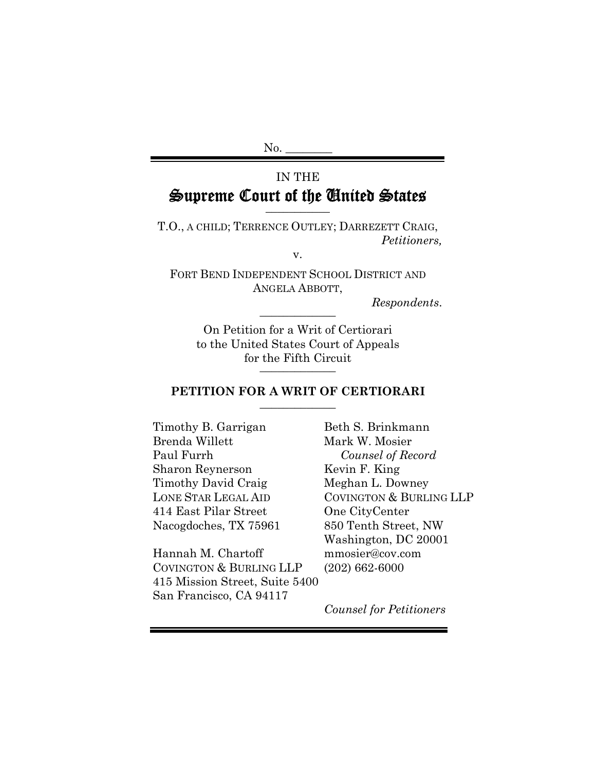# IN THE Supreme Court of the United States  $\frac{1}{2}$

T.O., A CHILD; TERRENCE OUTLEY; DARREZETT CRAIG, *Petitioners,* 

v.

FORT BEND INDEPENDENT SCHOOL DISTRICT AND ANGELA ABBOTT,

 $\overline{\phantom{a}}$  , where  $\overline{\phantom{a}}$ 

*Respondents*.

On Petition for a Writ of Certiorari to the United States Court of Appeals for the Fifth Circuit  $\frac{1}{2}$ 

#### **PETITION FOR A WRIT OF CERTIORARI**   $\overline{\phantom{a}}$  , we can also the contract of  $\overline{\phantom{a}}$

Timothy B. Garrigan Brenda Willett Paul Furrh Sharon Reynerson Timothy David Craig LONE STAR LEGAL AID 414 East Pilar Street Nacogdoches, TX 75961

Hannah M. Chartoff COVINGTON & BURLING LLP 415 Mission Street, Suite 5400 San Francisco, CA 94117

Beth S. Brinkmann Mark W. Mosier *Counsel of Record*  Kevin F. King Meghan L. Downey COVINGTON & BURLING LLP One CityCenter 850 Tenth Street, NW Washington, DC 20001 mmosier@cov.com (202) 662-6000

*Counsel for Petitioners*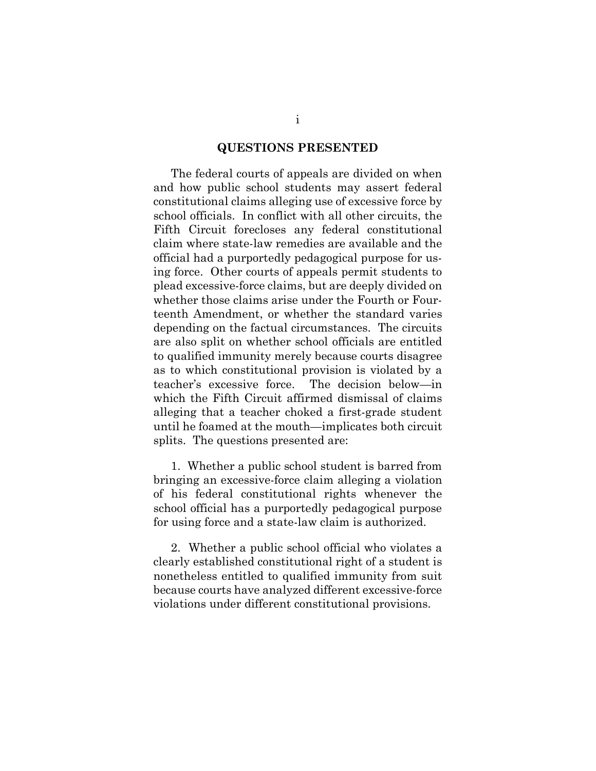#### **QUESTIONS PRESENTED**

The federal courts of appeals are divided on when and how public school students may assert federal constitutional claims alleging use of excessive force by school officials. In conflict with all other circuits, the Fifth Circuit forecloses any federal constitutional claim where state-law remedies are available and the official had a purportedly pedagogical purpose for using force. Other courts of appeals permit students to plead excessive-force claims, but are deeply divided on whether those claims arise under the Fourth or Fourteenth Amendment, or whether the standard varies depending on the factual circumstances. The circuits are also split on whether school officials are entitled to qualified immunity merely because courts disagree as to which constitutional provision is violated by a teacher's excessive force. The decision below—in which the Fifth Circuit affirmed dismissal of claims alleging that a teacher choked a first-grade student until he foamed at the mouth—implicates both circuit splits. The questions presented are:

1. Whether a public school student is barred from bringing an excessive-force claim alleging a violation of his federal constitutional rights whenever the school official has a purportedly pedagogical purpose for using force and a state-law claim is authorized.

2. Whether a public school official who violates a clearly established constitutional right of a student is nonetheless entitled to qualified immunity from suit because courts have analyzed different excessive-force violations under different constitutional provisions.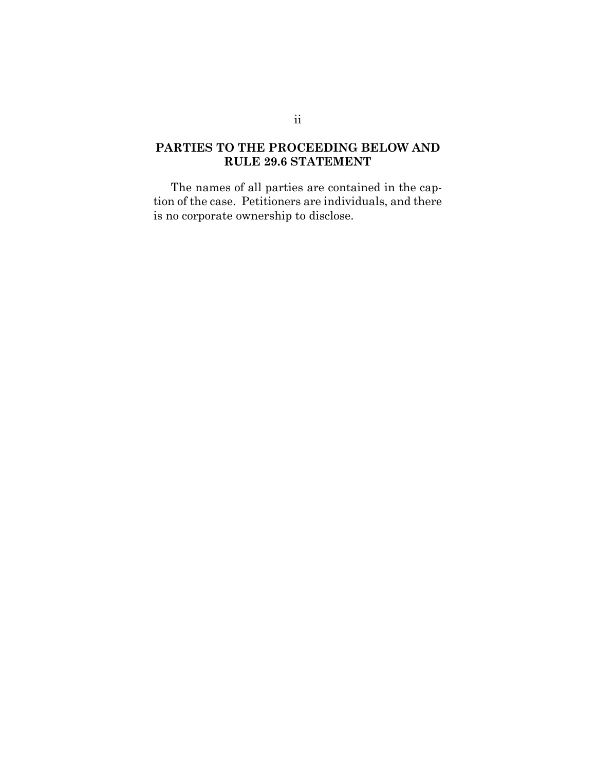## **PARTIES TO THE PROCEEDING BELOW AND RULE 29.6 STATEMENT**

The names of all parties are contained in the caption of the case. Petitioners are individuals, and there is no corporate ownership to disclose.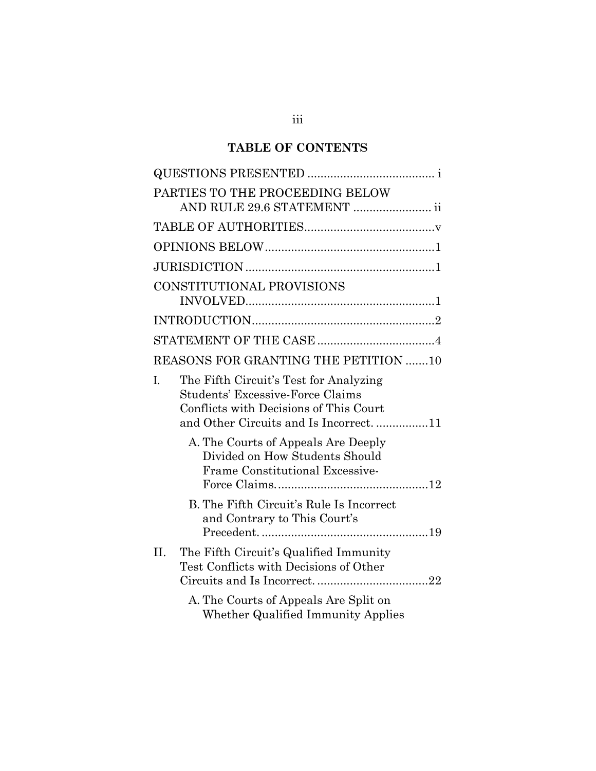# **TABLE OF CONTENTS**

| PARTIES TO THE PROCEEDING BELOW<br>AND RULE 29.6 STATEMENT  ii                                                                                                      |
|---------------------------------------------------------------------------------------------------------------------------------------------------------------------|
|                                                                                                                                                                     |
|                                                                                                                                                                     |
|                                                                                                                                                                     |
| CONSTITUTIONAL PROVISIONS                                                                                                                                           |
|                                                                                                                                                                     |
|                                                                                                                                                                     |
| REASONS FOR GRANTING THE PETITION 10                                                                                                                                |
| I.<br>The Fifth Circuit's Test for Analyzing<br>Students' Excessive-Force Claims<br>Conflicts with Decisions of This Court<br>and Other Circuits and Is Incorrect11 |
| A. The Courts of Appeals Are Deeply<br>Divided on How Students Should<br>Frame Constitutional Excessive-                                                            |
| B. The Fifth Circuit's Rule Is Incorrect<br>and Contrary to This Court's                                                                                            |
| The Fifth Circuit's Qualified Immunity<br>II.<br>Test Conflicts with Decisions of Other                                                                             |
| A. The Courts of Appeals Are Split on<br><b>Whether Qualified Immunity Applies</b>                                                                                  |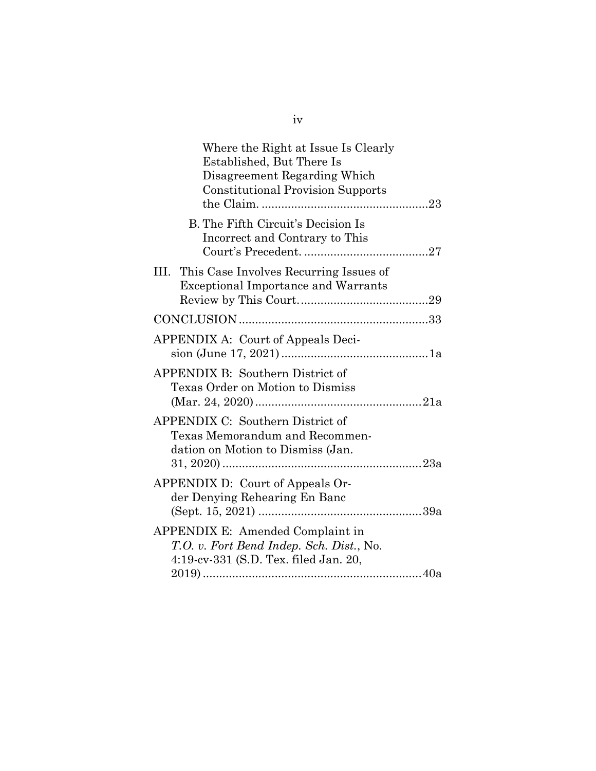| Where the Right at Issue Is Clearly<br>Established, But There Is<br>Disagreement Regarding Which<br><b>Constitutional Provision Supports</b> |  |
|----------------------------------------------------------------------------------------------------------------------------------------------|--|
| B. The Fifth Circuit's Decision Is<br>Incorrect and Contrary to This                                                                         |  |
| III. This Case Involves Recurring Issues of<br><b>Exceptional Importance and Warrants</b>                                                    |  |
|                                                                                                                                              |  |
| APPENDIX A: Court of Appeals Deci-                                                                                                           |  |
| APPENDIX B: Southern District of<br>Texas Order on Motion to Dismiss                                                                         |  |
| APPENDIX C: Southern District of<br>Texas Memorandum and Recommen-<br>dation on Motion to Dismiss (Jan.                                      |  |
| APPENDIX D: Court of Appeals Or-<br>der Denying Rehearing En Banc                                                                            |  |
| APPENDIX E: Amended Complaint in<br>T.O. v. Fort Bend Indep. Sch. Dist., No.<br>4:19-cv-331 (S.D. Tex. filed Jan. 20,                        |  |
|                                                                                                                                              |  |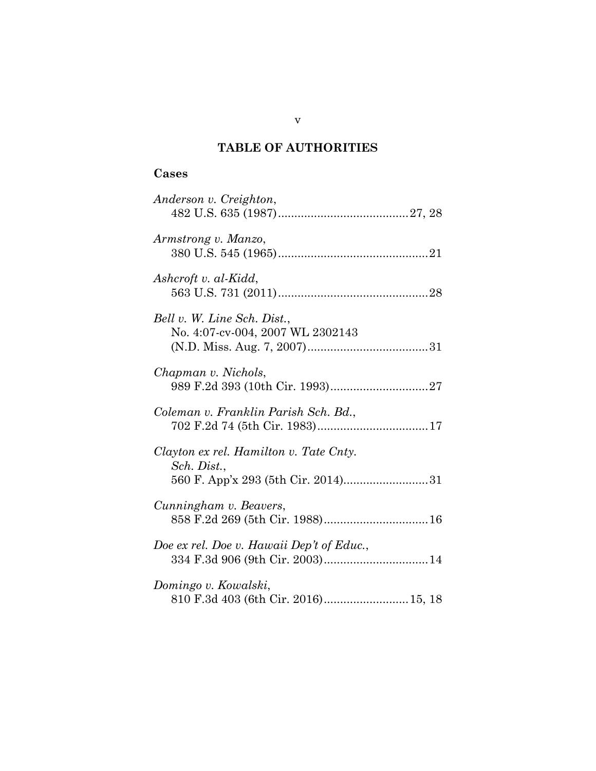# **TABLE OF AUTHORITIES**

# **Cases**

| Anderson v. Creighton,                                                       |
|------------------------------------------------------------------------------|
| Armstrong v. Manzo,                                                          |
| Ashcroft v. al-Kidd,                                                         |
| Bell v. W. Line Sch. Dist.,<br>No. 4:07-cv-004, 2007 WL 2302143              |
| Chapman v. Nichols,                                                          |
| Coleman v. Franklin Parish Sch. Bd.,                                         |
| Clayton ex rel. Hamilton v. Tate Cnty.<br>Sch. Dist.,                        |
| Cunningham v. Beavers,<br>858 F.2d 269 (5th Cir. 1988) 16                    |
| Doe ex rel. Doe v. Hawaii Dep't of Educ.,<br>334 F.3d 906 (9th Cir. 2003) 14 |
| Domingo v. Kowalski,<br>810 F.3d 403 (6th Cir. 2016) 15, 18                  |

v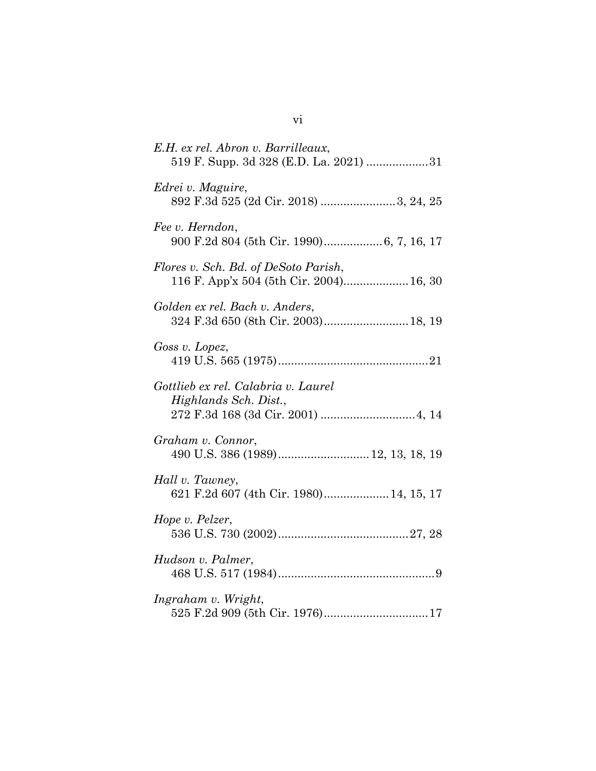| E.H. ex rel. Abron v. Barrilleaux,                                                                 |
|----------------------------------------------------------------------------------------------------|
| Edrei v. Maguire,<br>892 F.3d 525 (2d Cir. 2018) 3, 24, 25                                         |
| Fee v. Herndon,<br>900 F.2d 804 (5th Cir. 1990) 6, 7, 16, 17                                       |
| Flores v. Sch. Bd. of DeSoto Parish,<br>116 F. App'x 504 (5th Cir. 2004) 16, 30                    |
| Golden ex rel. Bach v. Anders,<br>324 F.3d 650 (8th Cir. 2003) 18, 19                              |
| Goss v. Lopez,                                                                                     |
| Gottlieb ex rel. Calabria v. Laurel<br>Highlands Sch. Dist.,<br>272 F.3d 168 (3d Cir. 2001)  4, 14 |
| Graham v. Connor,<br>490 U.S. 386 (1989) 12, 13, 18, 19                                            |
| Hall v. Tawney,<br>621 F.2d 607 (4th Cir. 1980) 14, 15, 17                                         |
| Hope v. Pelzer,                                                                                    |
| Hudson v. Palmer,                                                                                  |
| Ingraham v. Wright,                                                                                |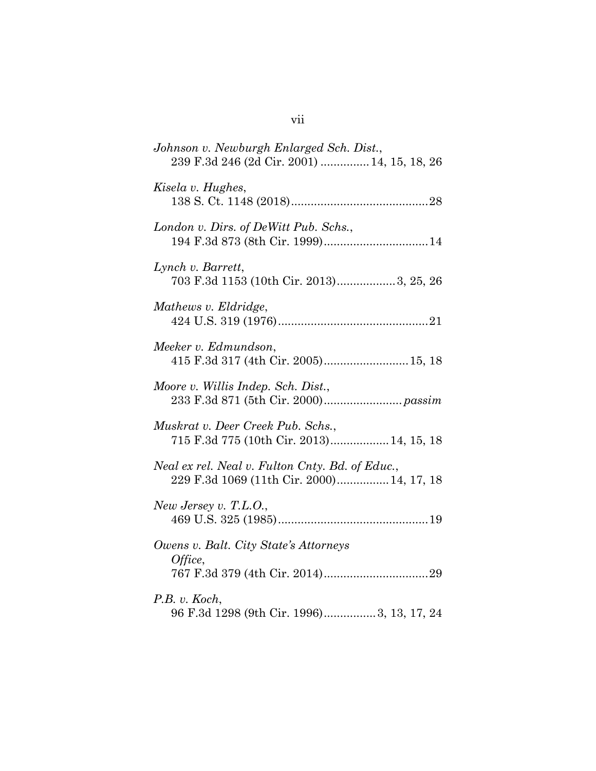| Johnson v. Newburgh Enlarged Sch. Dist.,<br>239 F.3d 246 (2d Cir. 2001)  14, 15, 18, 26      |
|----------------------------------------------------------------------------------------------|
| Kisela v. Hughes,                                                                            |
| London v. Dirs. of DeWitt Pub. Schs.,                                                        |
| Lynch v. Barrett,<br>703 F.3d 1153 (10th Cir. 2013)3, 25, 26                                 |
| Mathews v. Eldridge,                                                                         |
| Meeker v. Edmundson,                                                                         |
| Moore v. Willis Indep. Sch. Dist.,                                                           |
| Muskrat v. Deer Creek Pub. Schs.,<br>715 F.3d 775 (10th Cir. 2013) 14, 15, 18                |
| Neal ex rel. Neal v. Fulton Cnty. Bd. of Educ.,<br>229 F.3d 1069 (11th Cir. 2000) 14, 17, 18 |
| New Jersey v. T.L.O.,                                                                        |
| Owens v. Balt. City State's Attorneys<br>Office,                                             |
| P.B. v. Koch,<br>96 F.3d 1298 (9th Cir. 1996)3, 13, 17, 24                                   |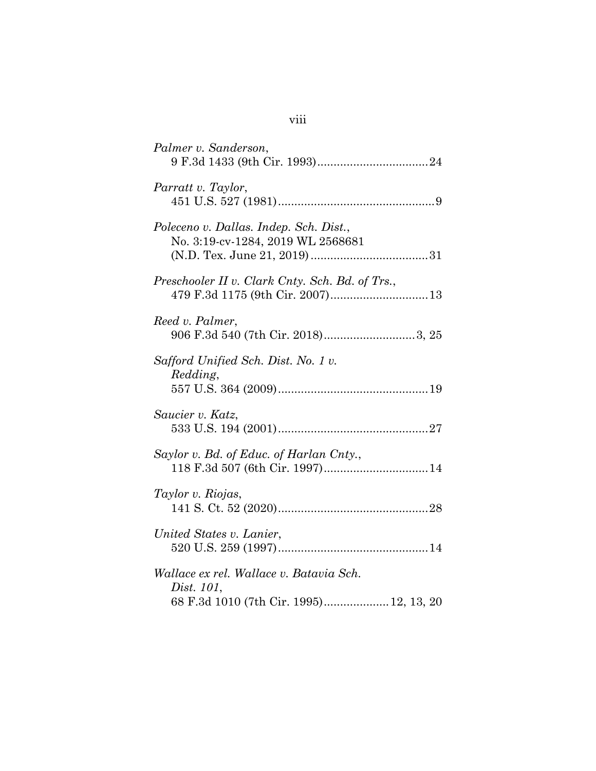| Palmer v. Sanderson,                                                                             |
|--------------------------------------------------------------------------------------------------|
| Parratt v. Taylor,                                                                               |
| Poleceno v. Dallas. Indep. Sch. Dist.,<br>No. 3:19-cv-1284, 2019 WL 2568681                      |
| Preschooler II v. Clark Cnty. Sch. Bd. of Trs.,                                                  |
| Reed v. Palmer,<br>906 F.3d 540 (7th Cir. 2018)3, 25                                             |
| Safford Unified Sch. Dist. No. 1 v.<br>Redding,                                                  |
| Saucier v. Katz,                                                                                 |
| Saylor v. Bd. of Educ. of Harlan Cnty.,                                                          |
| Taylor v. Riojas,                                                                                |
| United States v. Lanier,                                                                         |
| Wallace ex rel. Wallace v. Batavia Sch.<br>Dist. 101,<br>68 F.3d 1010 (7th Cir. 1995) 12, 13, 20 |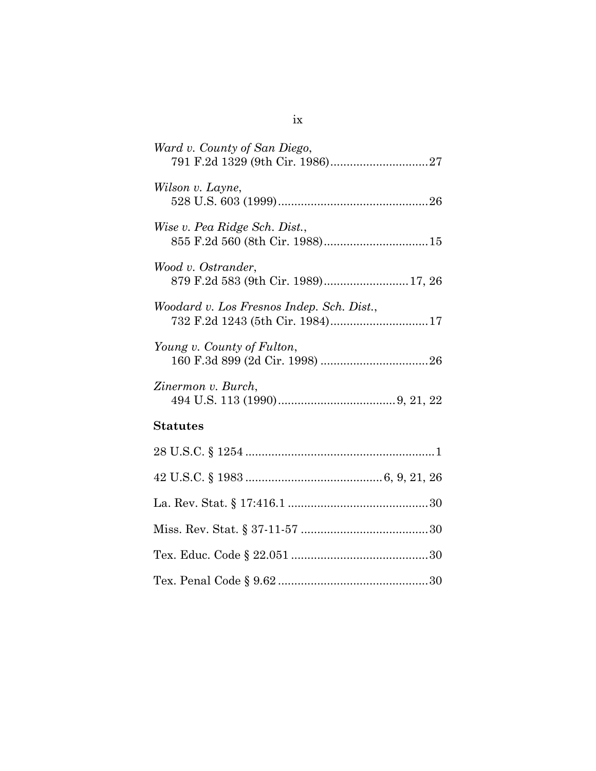| Ward v. County of San Diego,                                                  |
|-------------------------------------------------------------------------------|
| Wilson v. Layne,                                                              |
| Wise v. Pea Ridge Sch. Dist.,<br>855 F.2d 560 (8th Cir. 1988) 15              |
| Wood v. Ostrander,<br>879 F.2d 583 (9th Cir. 1989)17, 26                      |
| Woodard v. Los Fresnos Indep. Sch. Dist.,<br>732 F.2d 1243 (5th Cir. 1984) 17 |
| Young v. County of Fulton,                                                    |
| Zinermon v. Burch,                                                            |
| <b>Statutes</b>                                                               |
|                                                                               |
|                                                                               |
|                                                                               |
|                                                                               |
|                                                                               |
|                                                                               |

ix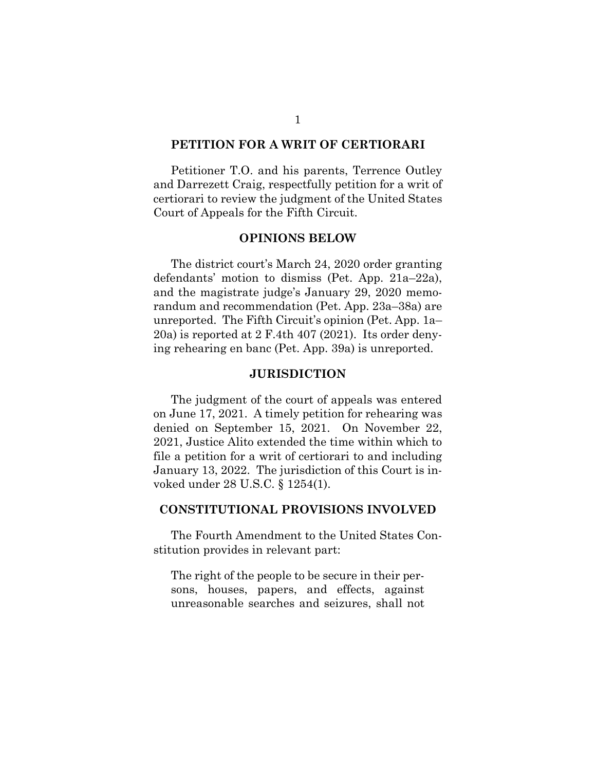#### **PETITION FOR A WRIT OF CERTIORARI**

Petitioner T.O. and his parents, Terrence Outley and Darrezett Craig, respectfully petition for a writ of certiorari to review the judgment of the United States Court of Appeals for the Fifth Circuit.

### **OPINIONS BELOW**

The district court's March 24, 2020 order granting defendants' motion to dismiss (Pet. App. 21a–22a), and the magistrate judge's January 29, 2020 memorandum and recommendation (Pet. App. 23a–38a) are unreported. The Fifth Circuit's opinion (Pet. App. 1a– 20a) is reported at 2 F.4th 407 (2021). Its order denying rehearing en banc (Pet. App. 39a) is unreported.

### **JURISDICTION**

The judgment of the court of appeals was entered on June 17, 2021. A timely petition for rehearing was denied on September 15, 2021. On November 22, 2021, Justice Alito extended the time within which to file a petition for a writ of certiorari to and including January 13, 2022. The jurisdiction of this Court is invoked under 28 U.S.C. § 1254(1).

#### **CONSTITUTIONAL PROVISIONS INVOLVED**

The Fourth Amendment to the United States Constitution provides in relevant part:

The right of the people to be secure in their persons, houses, papers, and effects, against unreasonable searches and seizures, shall not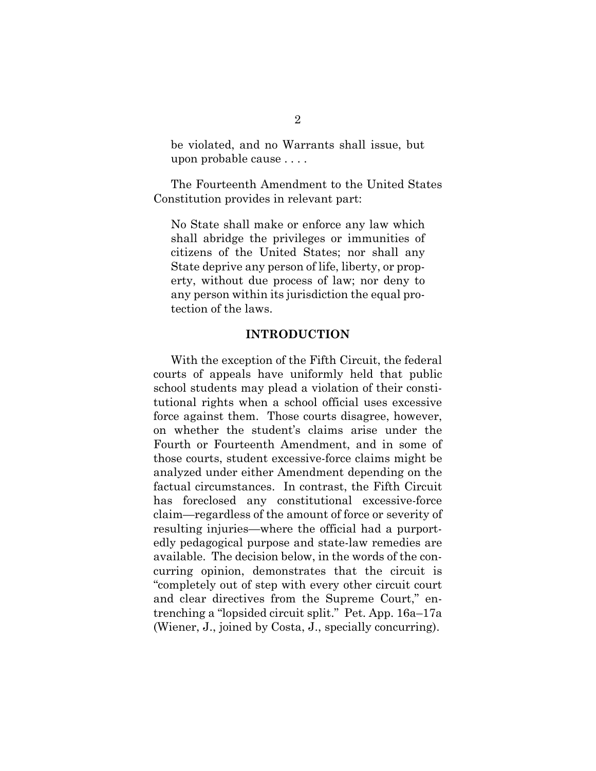be violated, and no Warrants shall issue, but upon probable cause . . . .

The Fourteenth Amendment to the United States Constitution provides in relevant part:

No State shall make or enforce any law which shall abridge the privileges or immunities of citizens of the United States; nor shall any State deprive any person of life, liberty, or property, without due process of law; nor deny to any person within its jurisdiction the equal protection of the laws.

### **INTRODUCTION**

With the exception of the Fifth Circuit, the federal courts of appeals have uniformly held that public school students may plead a violation of their constitutional rights when a school official uses excessive force against them. Those courts disagree, however, on whether the student's claims arise under the Fourth or Fourteenth Amendment, and in some of those courts, student excessive-force claims might be analyzed under either Amendment depending on the factual circumstances. In contrast, the Fifth Circuit has foreclosed any constitutional excessive-force claim—regardless of the amount of force or severity of resulting injuries—where the official had a purportedly pedagogical purpose and state-law remedies are available. The decision below, in the words of the concurring opinion, demonstrates that the circuit is "completely out of step with every other circuit court and clear directives from the Supreme Court," entrenching a "lopsided circuit split." Pet. App. 16a–17a (Wiener, J., joined by Costa, J., specially concurring).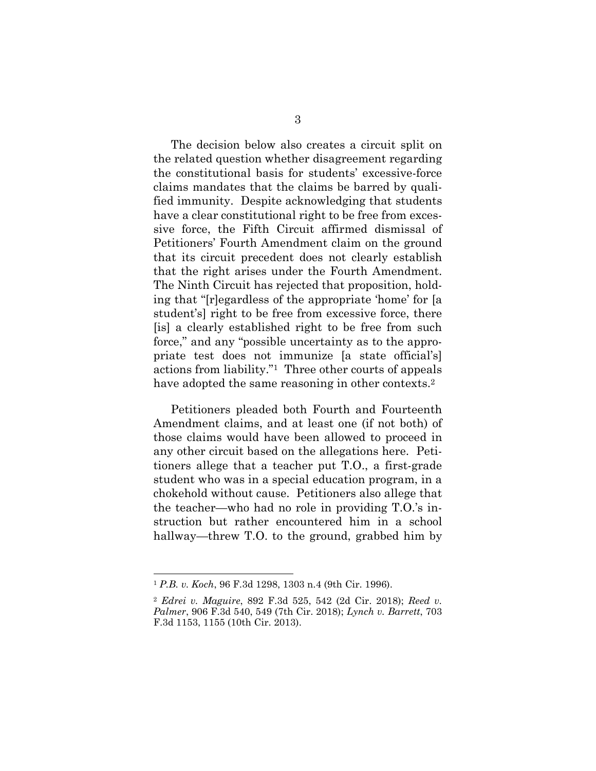The decision below also creates a circuit split on the related question whether disagreement regarding the constitutional basis for students' excessive-force claims mandates that the claims be barred by qualified immunity. Despite acknowledging that students have a clear constitutional right to be free from excessive force, the Fifth Circuit affirmed dismissal of Petitioners' Fourth Amendment claim on the ground that its circuit precedent does not clearly establish that the right arises under the Fourth Amendment. The Ninth Circuit has rejected that proposition, holding that "[r]egardless of the appropriate 'home' for [a student's] right to be free from excessive force, there [is] a clearly established right to be free from such force," and any "possible uncertainty as to the appropriate test does not immunize [a state official's] actions from liability."1 Three other courts of appeals have adopted the same reasoning in other contexts.<sup>2</sup>

Petitioners pleaded both Fourth and Fourteenth Amendment claims, and at least one (if not both) of those claims would have been allowed to proceed in any other circuit based on the allegations here. Petitioners allege that a teacher put T.O., a first-grade student who was in a special education program, in a chokehold without cause. Petitioners also allege that the teacher—who had no role in providing T.O.'s instruction but rather encountered him in a school hallway—threw T.O. to the ground, grabbed him by

<sup>1</sup> *P.B. v. Koch*, 96 F.3d 1298, 1303 n.4 (9th Cir. 1996).

<sup>2</sup> *Edrei v. Maguire*, 892 F.3d 525, 542 (2d Cir. 2018); *Reed v. Palmer*, 906 F.3d 540, 549 (7th Cir. 2018); *Lynch v. Barrett*, 703 F.3d 1153, 1155 (10th Cir. 2013).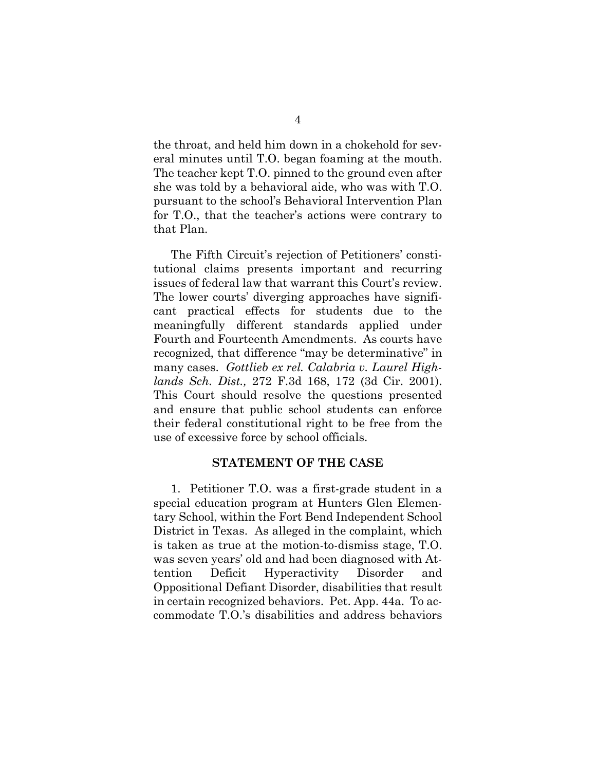the throat, and held him down in a chokehold for several minutes until T.O. began foaming at the mouth. The teacher kept T.O. pinned to the ground even after she was told by a behavioral aide, who was with T.O. pursuant to the school's Behavioral Intervention Plan for T.O., that the teacher's actions were contrary to that Plan.

The Fifth Circuit's rejection of Petitioners' constitutional claims presents important and recurring issues of federal law that warrant this Court's review. The lower courts' diverging approaches have significant practical effects for students due to the meaningfully different standards applied under Fourth and Fourteenth Amendments. As courts have recognized, that difference "may be determinative" in many cases. *Gottlieb ex rel. Calabria v. Laurel Highlands Sch. Dist.,* 272 F.3d 168, 172 (3d Cir. 2001). This Court should resolve the questions presented and ensure that public school students can enforce their federal constitutional right to be free from the use of excessive force by school officials.

#### **STATEMENT OF THE CASE**

1. Petitioner T.O. was a first-grade student in a special education program at Hunters Glen Elementary School, within the Fort Bend Independent School District in Texas. As alleged in the complaint, which is taken as true at the motion-to-dismiss stage, T.O. was seven years' old and had been diagnosed with Attention Deficit Hyperactivity Disorder and Oppositional Defiant Disorder, disabilities that result in certain recognized behaviors. Pet. App. 44a. To accommodate T.O.'s disabilities and address behaviors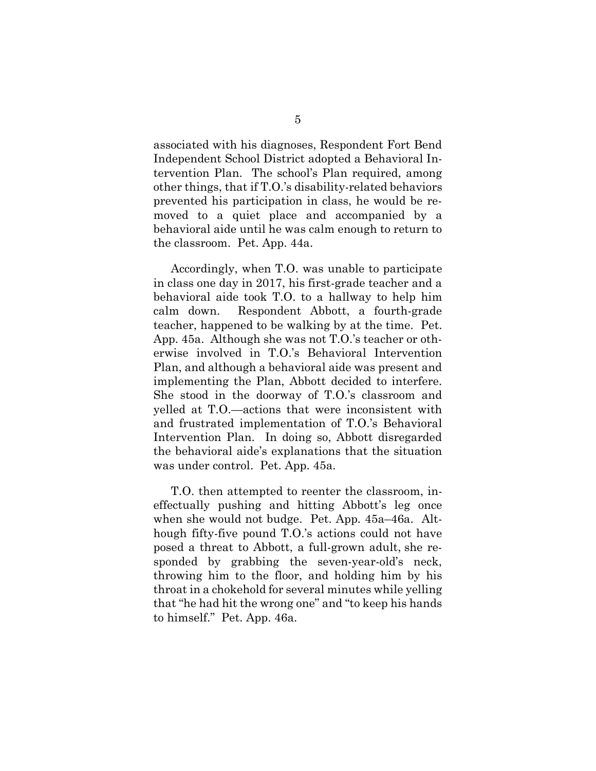associated with his diagnoses, Respondent Fort Bend Independent School District adopted a Behavioral Intervention Plan. The school's Plan required, among other things, that if T.O.'s disability-related behaviors prevented his participation in class, he would be removed to a quiet place and accompanied by a behavioral aide until he was calm enough to return to the classroom. Pet. App. 44a.

Accordingly, when T.O. was unable to participate in class one day in 2017, his first-grade teacher and a behavioral aide took T.O. to a hallway to help him calm down. Respondent Abbott, a fourth-grade teacher, happened to be walking by at the time. Pet. App. 45a. Although she was not T.O.'s teacher or otherwise involved in T.O.'s Behavioral Intervention Plan, and although a behavioral aide was present and implementing the Plan, Abbott decided to interfere. She stood in the doorway of T.O.'s classroom and yelled at T.O.—actions that were inconsistent with and frustrated implementation of T.O.'s Behavioral Intervention Plan. In doing so, Abbott disregarded the behavioral aide's explanations that the situation was under control. Pet. App. 45a.

T.O. then attempted to reenter the classroom, ineffectually pushing and hitting Abbott's leg once when she would not budge. Pet. App. 45a–46a. Although fifty-five pound T.O.'s actions could not have posed a threat to Abbott, a full-grown adult, she responded by grabbing the seven-year-old's neck, throwing him to the floor, and holding him by his throat in a chokehold for several minutes while yelling that "he had hit the wrong one" and "to keep his hands to himself." Pet. App. 46a.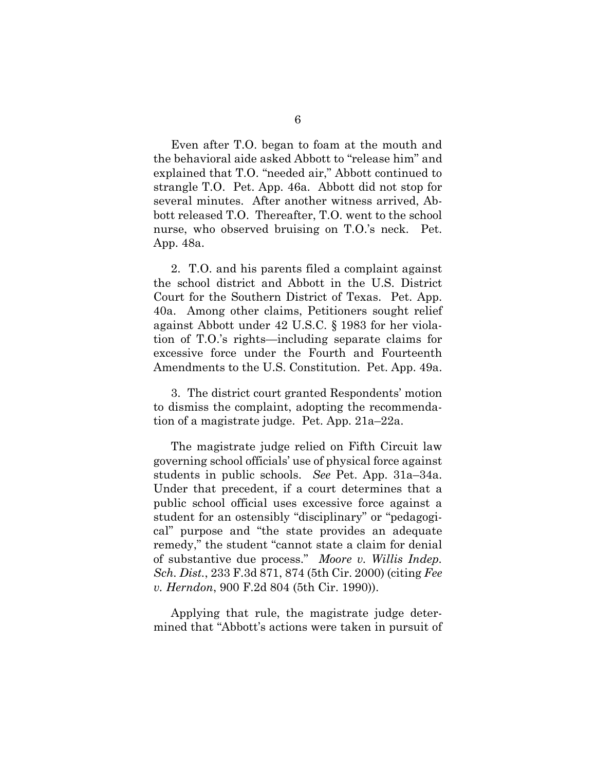Even after T.O. began to foam at the mouth and the behavioral aide asked Abbott to "release him" and explained that T.O. "needed air," Abbott continued to strangle T.O. Pet. App. 46a. Abbott did not stop for several minutes. After another witness arrived, Abbott released T.O. Thereafter, T.O. went to the school nurse, who observed bruising on T.O.'s neck. Pet. App. 48a.

2. T.O. and his parents filed a complaint against the school district and Abbott in the U.S. District Court for the Southern District of Texas. Pet. App. 40a. Among other claims, Petitioners sought relief against Abbott under 42 U.S.C. § 1983 for her violation of T.O.'s rights—including separate claims for excessive force under the Fourth and Fourteenth Amendments to the U.S. Constitution. Pet. App. 49a.

3. The district court granted Respondents' motion to dismiss the complaint, adopting the recommendation of a magistrate judge. Pet. App. 21a–22a.

The magistrate judge relied on Fifth Circuit law governing school officials' use of physical force against students in public schools. *See* Pet. App. 31a–34a. Under that precedent, if a court determines that a public school official uses excessive force against a student for an ostensibly "disciplinary" or "pedagogical" purpose and "the state provides an adequate remedy," the student "cannot state a claim for denial of substantive due process." *Moore v. Willis Indep. Sch. Dist.*, 233 F.3d 871, 874 (5th Cir. 2000) (citing *Fee v. Herndon*, 900 F.2d 804 (5th Cir. 1990)).

Applying that rule, the magistrate judge determined that "Abbott's actions were taken in pursuit of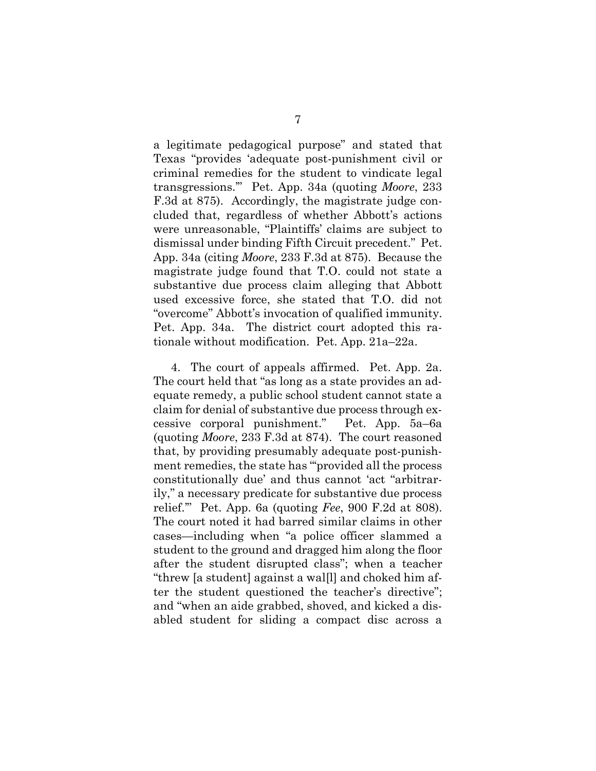a legitimate pedagogical purpose" and stated that Texas "provides 'adequate post-punishment civil or criminal remedies for the student to vindicate legal transgressions.'" Pet. App. 34a (quoting *Moore*, 233 F.3d at 875). Accordingly, the magistrate judge concluded that, regardless of whether Abbott's actions were unreasonable, "Plaintiffs' claims are subject to dismissal under binding Fifth Circuit precedent." Pet. App. 34a (citing *Moore*, 233 F.3d at 875). Because the magistrate judge found that T.O. could not state a substantive due process claim alleging that Abbott used excessive force, she stated that T.O. did not "overcome" Abbott's invocation of qualified immunity. Pet. App. 34a. The district court adopted this rationale without modification. Pet. App. 21a–22a.

4. The court of appeals affirmed. Pet. App. 2a. The court held that "as long as a state provides an adequate remedy, a public school student cannot state a claim for denial of substantive due process through excessive corporal punishment." Pet. App. 5a–6a (quoting *Moore*, 233 F.3d at 874). The court reasoned that, by providing presumably adequate post-punishment remedies, the state has ""provided all the process" constitutionally due' and thus cannot 'act "arbitrarily," a necessary predicate for substantive due process relief.'" Pet. App. 6a (quoting *Fee*, 900 F.2d at 808). The court noted it had barred similar claims in other cases—including when "a police officer slammed a student to the ground and dragged him along the floor after the student disrupted class"; when a teacher "threw [a student] against a wal[l] and choked him after the student questioned the teacher's directive"; and "when an aide grabbed, shoved, and kicked a disabled student for sliding a compact disc across a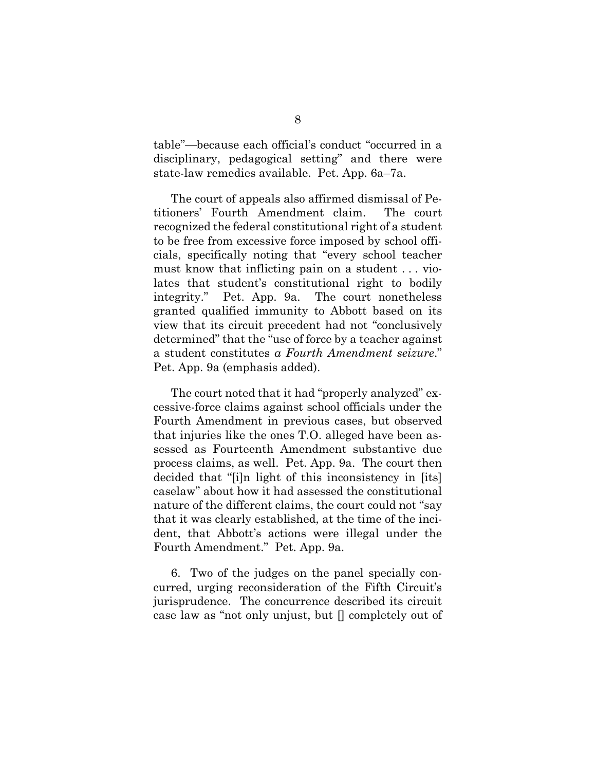table"—because each official's conduct "occurred in a disciplinary, pedagogical setting" and there were state-law remedies available. Pet. App. 6a–7a.

The court of appeals also affirmed dismissal of Petitioners' Fourth Amendment claim. The court recognized the federal constitutional right of a student to be free from excessive force imposed by school officials, specifically noting that "every school teacher must know that inflicting pain on a student . . . violates that student's constitutional right to bodily integrity." Pet. App. 9a. The court nonetheless granted qualified immunity to Abbott based on its view that its circuit precedent had not "conclusively determined" that the "use of force by a teacher against a student constitutes *a Fourth Amendment seizure*." Pet. App. 9a (emphasis added).

The court noted that it had "properly analyzed" excessive-force claims against school officials under the Fourth Amendment in previous cases, but observed that injuries like the ones T.O. alleged have been assessed as Fourteenth Amendment substantive due process claims, as well. Pet. App. 9a. The court then decided that "[i]n light of this inconsistency in [its] caselaw" about how it had assessed the constitutional nature of the different claims, the court could not "say that it was clearly established, at the time of the incident, that Abbott's actions were illegal under the Fourth Amendment." Pet. App. 9a.

6. Two of the judges on the panel specially concurred, urging reconsideration of the Fifth Circuit's jurisprudence. The concurrence described its circuit case law as "not only unjust, but [] completely out of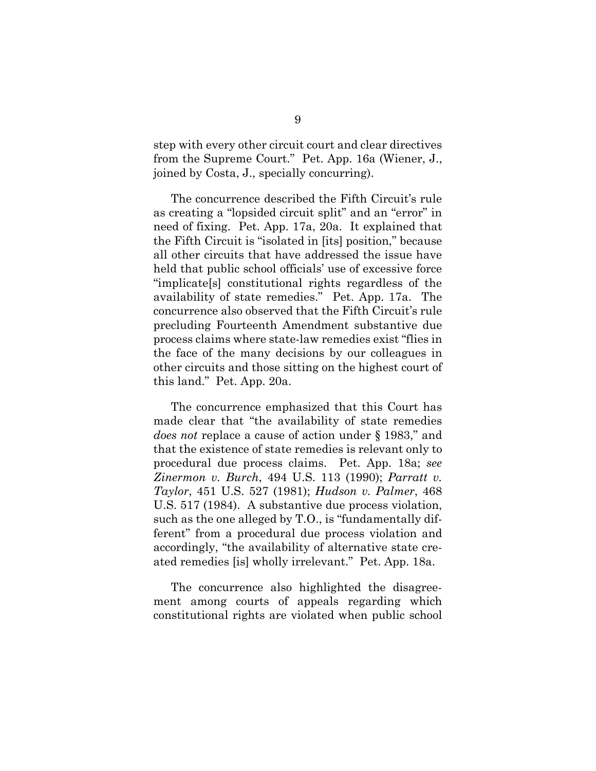step with every other circuit court and clear directives from the Supreme Court." Pet. App. 16a (Wiener, J., joined by Costa, J., specially concurring).

The concurrence described the Fifth Circuit's rule as creating a "lopsided circuit split" and an "error" in need of fixing. Pet. App. 17a, 20a. It explained that the Fifth Circuit is "isolated in [its] position," because all other circuits that have addressed the issue have held that public school officials' use of excessive force "implicate[s] constitutional rights regardless of the availability of state remedies." Pet. App. 17a. The concurrence also observed that the Fifth Circuit's rule precluding Fourteenth Amendment substantive due process claims where state-law remedies exist "flies in the face of the many decisions by our colleagues in other circuits and those sitting on the highest court of this land." Pet. App. 20a.

The concurrence emphasized that this Court has made clear that "the availability of state remedies *does not* replace a cause of action under § 1983," and that the existence of state remedies is relevant only to procedural due process claims. Pet. App. 18a; *see Zinermon v. Burch*, 494 U.S. 113 (1990); *Parratt v. Taylor*, 451 U.S. 527 (1981); *Hudson v. Palmer*, 468 U.S. 517 (1984). A substantive due process violation, such as the one alleged by T.O., is "fundamentally different" from a procedural due process violation and accordingly, "the availability of alternative state created remedies [is] wholly irrelevant." Pet. App. 18a.

The concurrence also highlighted the disagreement among courts of appeals regarding which constitutional rights are violated when public school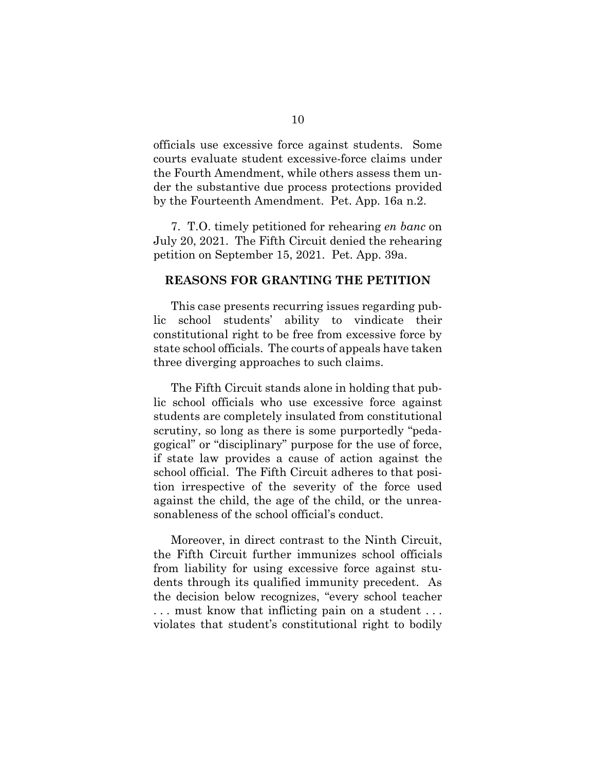officials use excessive force against students. Some courts evaluate student excessive-force claims under the Fourth Amendment, while others assess them under the substantive due process protections provided by the Fourteenth Amendment. Pet. App. 16a n.2.

7. T.O. timely petitioned for rehearing *en banc* on July 20, 2021. The Fifth Circuit denied the rehearing petition on September 15, 2021. Pet. App. 39a.

#### **REASONS FOR GRANTING THE PETITION**

This case presents recurring issues regarding public school students' ability to vindicate their constitutional right to be free from excessive force by state school officials. The courts of appeals have taken three diverging approaches to such claims.

The Fifth Circuit stands alone in holding that public school officials who use excessive force against students are completely insulated from constitutional scrutiny, so long as there is some purportedly "pedagogical" or "disciplinary" purpose for the use of force, if state law provides a cause of action against the school official. The Fifth Circuit adheres to that position irrespective of the severity of the force used against the child, the age of the child, or the unreasonableness of the school official's conduct.

Moreover, in direct contrast to the Ninth Circuit, the Fifth Circuit further immunizes school officials from liability for using excessive force against students through its qualified immunity precedent. As the decision below recognizes, "every school teacher ... must know that inflicting pain on a student ... violates that student's constitutional right to bodily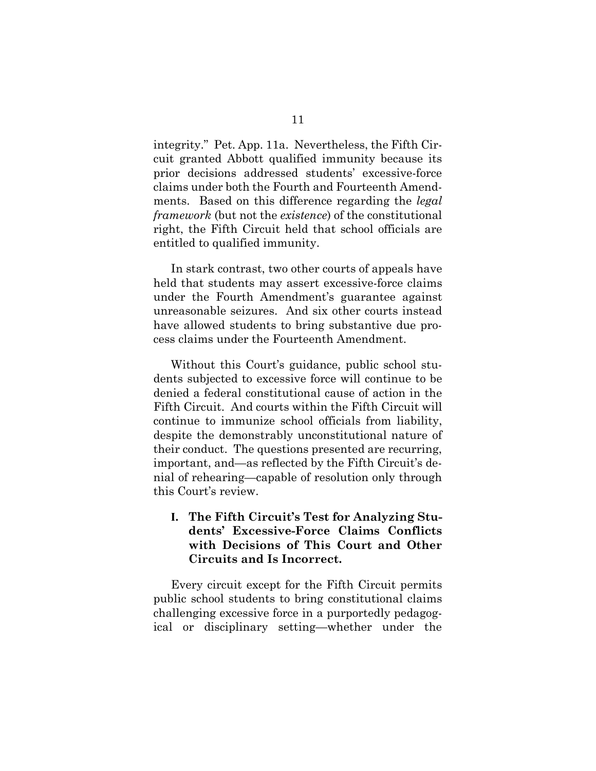integrity." Pet. App. 11a. Nevertheless, the Fifth Circuit granted Abbott qualified immunity because its prior decisions addressed students' excessive-force claims under both the Fourth and Fourteenth Amendments. Based on this difference regarding the *legal framework* (but not the *existence*) of the constitutional right, the Fifth Circuit held that school officials are entitled to qualified immunity.

In stark contrast, two other courts of appeals have held that students may assert excessive-force claims under the Fourth Amendment's guarantee against unreasonable seizures. And six other courts instead have allowed students to bring substantive due process claims under the Fourteenth Amendment.

Without this Court's guidance, public school students subjected to excessive force will continue to be denied a federal constitutional cause of action in the Fifth Circuit. And courts within the Fifth Circuit will continue to immunize school officials from liability, despite the demonstrably unconstitutional nature of their conduct. The questions presented are recurring, important, and—as reflected by the Fifth Circuit's denial of rehearing—capable of resolution only through this Court's review.

## **I. The Fifth Circuit's Test for Analyzing Students' Excessive-Force Claims Conflicts with Decisions of This Court and Other Circuits and Is Incorrect.**

Every circuit except for the Fifth Circuit permits public school students to bring constitutional claims challenging excessive force in a purportedly pedagogical or disciplinary setting—whether under the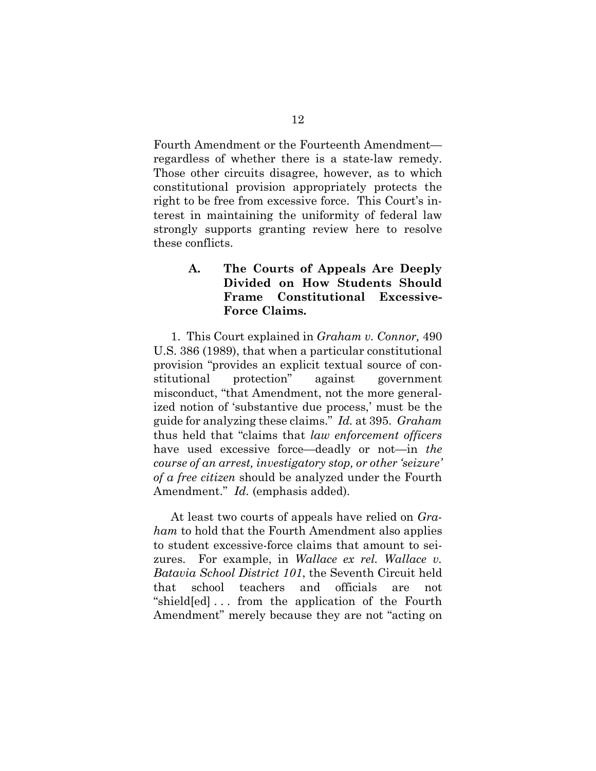Fourth Amendment or the Fourteenth Amendment regardless of whether there is a state-law remedy. Those other circuits disagree, however, as to which constitutional provision appropriately protects the right to be free from excessive force. This Court's interest in maintaining the uniformity of federal law strongly supports granting review here to resolve these conflicts.

## **A. The Courts of Appeals Are Deeply Divided on How Students Should Frame Constitutional Excessive-Force Claims.**

1. This Court explained in *Graham v. Connor,* 490 U.S. 386 (1989), that when a particular constitutional provision "provides an explicit textual source of constitutional protection" against government misconduct, "that Amendment, not the more generalized notion of 'substantive due process,' must be the guide for analyzing these claims." *Id.* at 395. *Graham*  thus held that "claims that *law enforcement officers* have used excessive force—deadly or not—in *the course of an arrest, investigatory stop, or other 'seizure' of a free citizen* should be analyzed under the Fourth Amendment." *Id.* (emphasis added).

At least two courts of appeals have relied on *Graham* to hold that the Fourth Amendment also applies to student excessive-force claims that amount to seizures. For example, in *Wallace ex rel. Wallace v. Batavia School District 101*, the Seventh Circuit held that school teachers and officials are not "shield[ed] . . . from the application of the Fourth Amendment" merely because they are not "acting on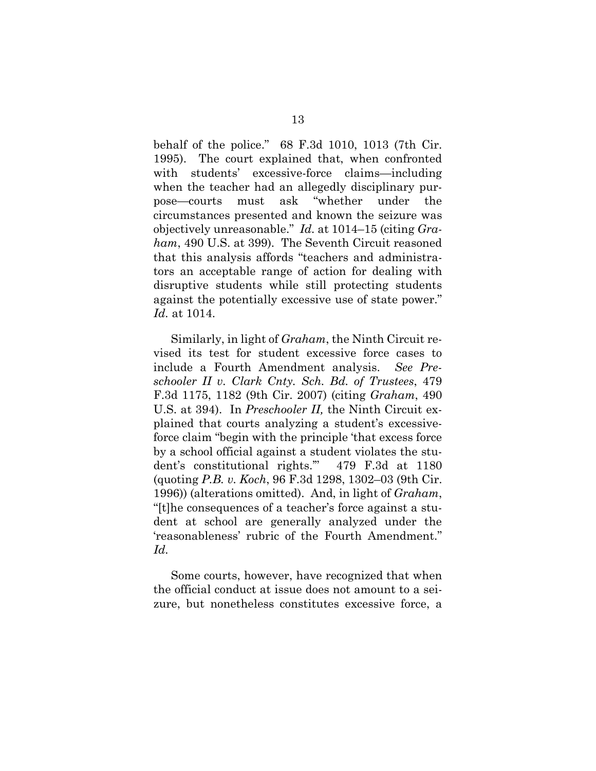behalf of the police." 68 F.3d 1010, 1013 (7th Cir. 1995). The court explained that, when confronted with students' excessive-force claims—including when the teacher had an allegedly disciplinary purpose—courts must ask "whether under the circumstances presented and known the seizure was objectively unreasonable." *Id.* at 1014–15 (citing *Graham*, 490 U.S. at 399). The Seventh Circuit reasoned that this analysis affords "teachers and administrators an acceptable range of action for dealing with disruptive students while still protecting students against the potentially excessive use of state power." *Id.* at 1014.

Similarly, in light of *Graham*, the Ninth Circuit revised its test for student excessive force cases to include a Fourth Amendment analysis. *See Preschooler II v. Clark Cnty. Sch. Bd. of Trustees*, 479 F.3d 1175, 1182 (9th Cir. 2007) (citing *Graham*, 490 U.S. at 394). In *Preschooler II,* the Ninth Circuit explained that courts analyzing a student's excessiveforce claim "begin with the principle 'that excess force by a school official against a student violates the student's constitutional rights.'" 479 F.3d at 1180 (quoting *P.B. v. Koch*, 96 F.3d 1298, 1302–03 (9th Cir. 1996)) (alterations omitted). And, in light of *Graham*, "[t]he consequences of a teacher's force against a student at school are generally analyzed under the 'reasonableness' rubric of the Fourth Amendment." *Id.*

Some courts, however, have recognized that when the official conduct at issue does not amount to a seizure, but nonetheless constitutes excessive force, a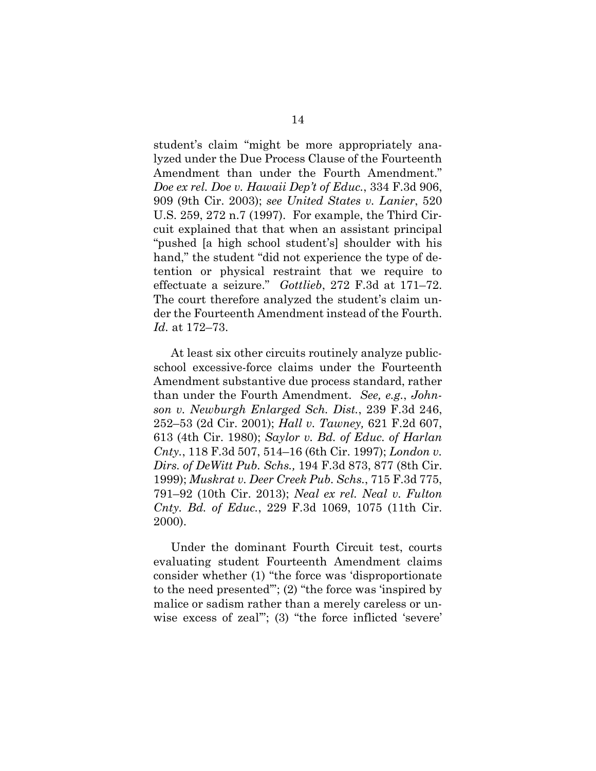student's claim "might be more appropriately analyzed under the Due Process Clause of the Fourteenth Amendment than under the Fourth Amendment." *Doe ex rel. Doe v. Hawaii Dep't of Educ.*, 334 F.3d 906, 909 (9th Cir. 2003); *see United States v. Lanier*, 520 U.S. 259, 272 n.7 (1997). For example, the Third Circuit explained that that when an assistant principal "pushed [a high school student's] shoulder with his hand," the student "did not experience the type of detention or physical restraint that we require to effectuate a seizure." *Gottlieb*, 272 F.3d at 171–72. The court therefore analyzed the student's claim under the Fourteenth Amendment instead of the Fourth. *Id.* at 172–73.

At least six other circuits routinely analyze publicschool excessive-force claims under the Fourteenth Amendment substantive due process standard, rather than under the Fourth Amendment. *See, e.g.*, *Johnson v. Newburgh Enlarged Sch. Dist.*, 239 F.3d 246, 252–53 (2d Cir. 2001); *Hall v. Tawney,* 621 F.2d 607, 613 (4th Cir. 1980); *Saylor v. Bd. of Educ. of Harlan Cnty.*, 118 F.3d 507, 514–16 (6th Cir. 1997); *London v. Dirs. of DeWitt Pub. Schs.,* 194 F.3d 873, 877 (8th Cir. 1999); *Muskrat v. Deer Creek Pub. Schs.*, 715 F.3d 775, 791–92 (10th Cir. 2013); *Neal ex rel. Neal v. Fulton Cnty. Bd. of Educ.*, 229 F.3d 1069, 1075 (11th Cir. 2000).

Under the dominant Fourth Circuit test, courts evaluating student Fourteenth Amendment claims consider whether (1) "the force was 'disproportionate to the need presented'"; (2) "the force was 'inspired by malice or sadism rather than a merely careless or unwise excess of zeal'"; (3) "the force inflicted 'severe'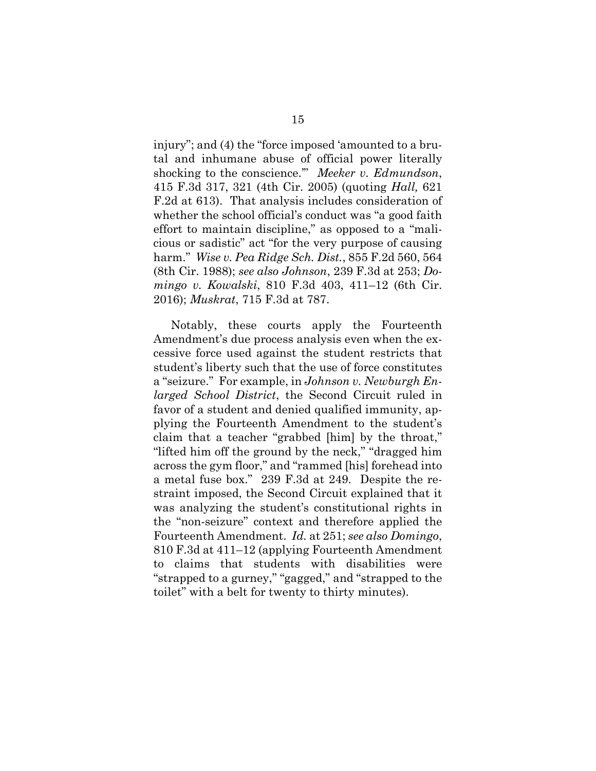injury"; and (4) the "force imposed 'amounted to a brutal and inhumane abuse of official power literally shocking to the conscience.'" *Meeker v. Edmundson*, 415 F.3d 317, 321 (4th Cir. 2005) (quoting *Hall,* 621 F.2d at 613). That analysis includes consideration of whether the school official's conduct was "a good faith" effort to maintain discipline," as opposed to a "malicious or sadistic" act "for the very purpose of causing harm." *Wise v. Pea Ridge Sch. Dist.*, 855 F.2d 560, 564 (8th Cir. 1988); *see also Johnson*, 239 F.3d at 253; *Domingo v. Kowalski*, 810 F.3d 403, 411–12 (6th Cir. 2016); *Muskrat*, 715 F.3d at 787.

Notably, these courts apply the Fourteenth Amendment's due process analysis even when the excessive force used against the student restricts that student's liberty such that the use of force constitutes a "seizure." For example, in *Johnson v. Newburgh Enlarged School District*, the Second Circuit ruled in favor of a student and denied qualified immunity, applying the Fourteenth Amendment to the student's claim that a teacher "grabbed [him] by the throat," "lifted him off the ground by the neck," "dragged him across the gym floor," and "rammed [his] forehead into a metal fuse box." 239 F.3d at 249. Despite the restraint imposed, the Second Circuit explained that it was analyzing the student's constitutional rights in the "non-seizure" context and therefore applied the Fourteenth Amendment. *Id.* at 251; *see also Domingo*, 810 F.3d at 411–12 (applying Fourteenth Amendment to claims that students with disabilities were "strapped to a gurney," "gagged," and "strapped to the toilet" with a belt for twenty to thirty minutes).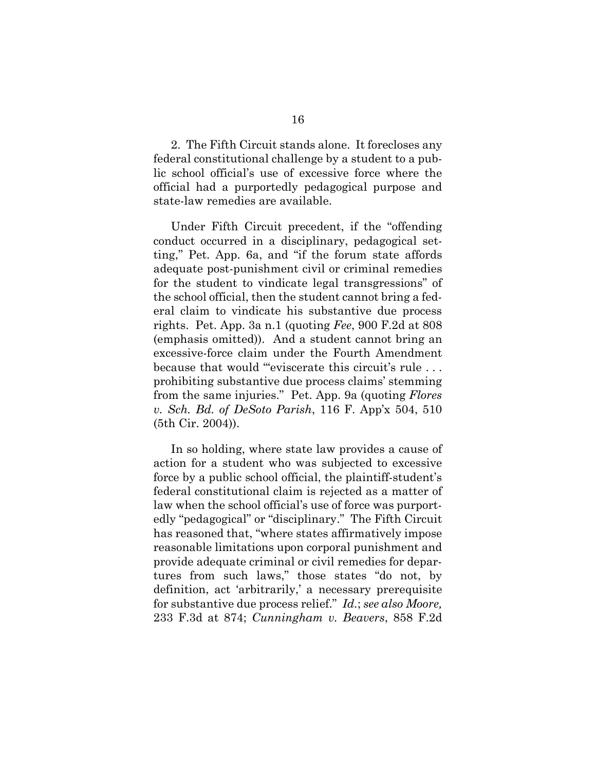2. The Fifth Circuit stands alone. It forecloses any federal constitutional challenge by a student to a public school official's use of excessive force where the official had a purportedly pedagogical purpose and state-law remedies are available.

Under Fifth Circuit precedent, if the "offending conduct occurred in a disciplinary, pedagogical setting," Pet. App. 6a, and "if the forum state affords adequate post-punishment civil or criminal remedies for the student to vindicate legal transgressions" of the school official, then the student cannot bring a federal claim to vindicate his substantive due process rights. Pet. App. 3a n.1 (quoting *Fee*, 900 F.2d at 808 (emphasis omitted)). And a student cannot bring an excessive-force claim under the Fourth Amendment because that would "'eviscerate this circuit's rule . . . prohibiting substantive due process claims' stemming from the same injuries." Pet. App. 9a (quoting *Flores v. Sch. Bd. of DeSoto Parish*, 116 F. App'x 504, 510 (5th Cir. 2004)).

In so holding, where state law provides a cause of action for a student who was subjected to excessive force by a public school official, the plaintiff-student's federal constitutional claim is rejected as a matter of law when the school official's use of force was purportedly "pedagogical" or "disciplinary." The Fifth Circuit has reasoned that, "where states affirmatively impose reasonable limitations upon corporal punishment and provide adequate criminal or civil remedies for departures from such laws," those states "do not, by definition, act 'arbitrarily,' a necessary prerequisite for substantive due process relief." *Id.*; *see also Moore,*  233 F.3d at 874; *Cunningham v. Beavers*, 858 F.2d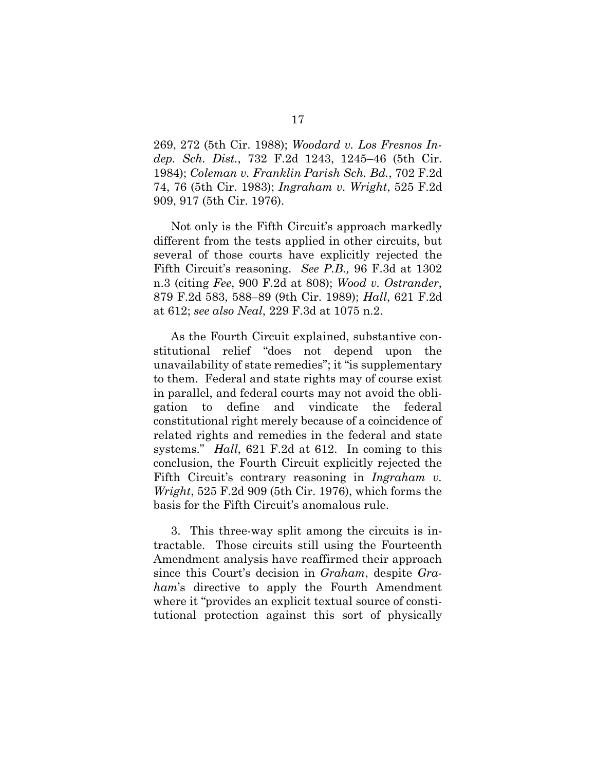269, 272 (5th Cir. 1988); *Woodard v. Los Fresnos Indep. Sch. Dist.*, 732 F.2d 1243, 1245–46 (5th Cir. 1984); *Coleman v. Franklin Parish Sch. Bd.*, 702 F.2d 74, 76 (5th Cir. 1983); *Ingraham v. Wright*, 525 F.2d 909, 917 (5th Cir. 1976).

Not only is the Fifth Circuit's approach markedly different from the tests applied in other circuits, but several of those courts have explicitly rejected the Fifth Circuit's reasoning. *See P.B.,* 96 F.3d at 1302 n.3 (citing *Fee*, 900 F.2d at 808); *Wood v. Ostrander*, 879 F.2d 583, 588–89 (9th Cir. 1989); *Hall*, 621 F.2d at 612; *see also Neal*, 229 F.3d at 1075 n.2.

As the Fourth Circuit explained, substantive constitutional relief "does not depend upon the unavailability of state remedies"; it "is supplementary to them. Federal and state rights may of course exist in parallel, and federal courts may not avoid the obligation to define and vindicate the federal constitutional right merely because of a coincidence of related rights and remedies in the federal and state systems." *Hall*, 621 F.2d at 612. In coming to this conclusion, the Fourth Circuit explicitly rejected the Fifth Circuit's contrary reasoning in *Ingraham v. Wright*, 525 F.2d 909 (5th Cir. 1976), which forms the basis for the Fifth Circuit's anomalous rule.

3. This three-way split among the circuits is intractable. Those circuits still using the Fourteenth Amendment analysis have reaffirmed their approach since this Court's decision in *Graham*, despite *Graham*'s directive to apply the Fourth Amendment where it "provides an explicit textual source of constitutional protection against this sort of physically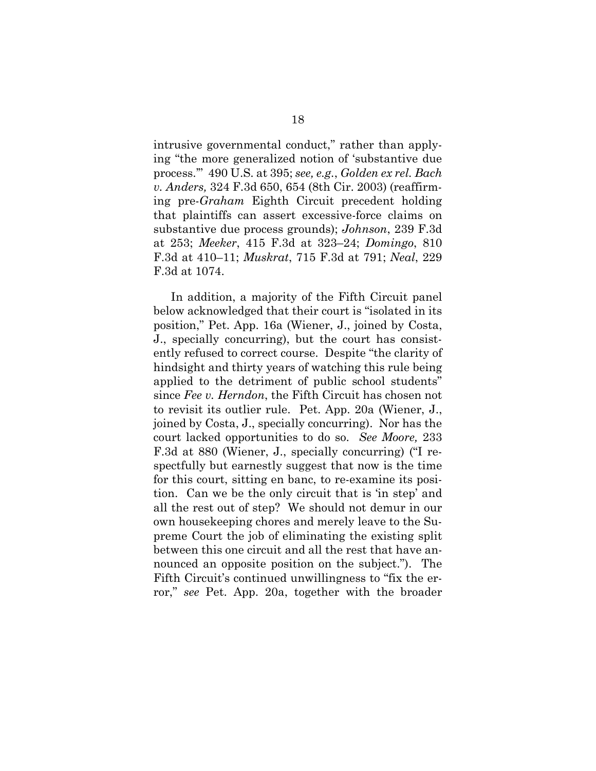intrusive governmental conduct," rather than applying "the more generalized notion of 'substantive due process.'" 490 U.S. at 395; *see, e.g.*, *Golden ex rel. Bach v. Anders,* 324 F.3d 650, 654 (8th Cir. 2003) (reaffirming pre-*Graham* Eighth Circuit precedent holding that plaintiffs can assert excessive-force claims on substantive due process grounds); *Johnson*, 239 F.3d at 253; *Meeker*, 415 F.3d at 323–24; *Domingo*, 810 F.3d at 410–11; *Muskrat*, 715 F.3d at 791; *Neal*, 229 F.3d at 1074.

In addition, a majority of the Fifth Circuit panel below acknowledged that their court is "isolated in its position," Pet. App. 16a (Wiener, J., joined by Costa, J., specially concurring), but the court has consistently refused to correct course. Despite "the clarity of hindsight and thirty years of watching this rule being applied to the detriment of public school students" since *Fee v. Herndon*, the Fifth Circuit has chosen not to revisit its outlier rule. Pet. App. 20a (Wiener, J., joined by Costa, J., specially concurring). Nor has the court lacked opportunities to do so. *See Moore,* 233 F.3d at 880 (Wiener, J., specially concurring) ("I respectfully but earnestly suggest that now is the time for this court, sitting en banc, to re-examine its position. Can we be the only circuit that is 'in step' and all the rest out of step? We should not demur in our own housekeeping chores and merely leave to the Supreme Court the job of eliminating the existing split between this one circuit and all the rest that have announced an opposite position on the subject."). The Fifth Circuit's continued unwillingness to "fix the error," *see* Pet. App. 20a, together with the broader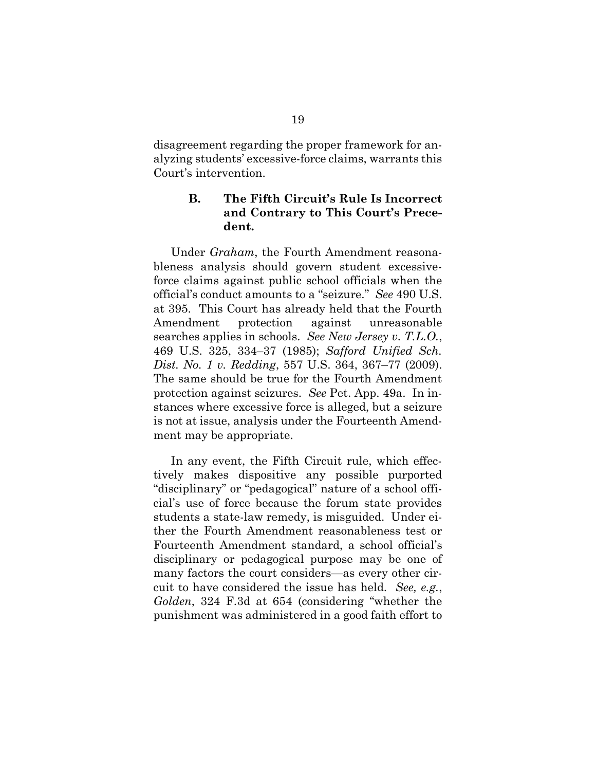disagreement regarding the proper framework for analyzing students' excessive-force claims, warrants this Court's intervention.

## **B. The Fifth Circuit's Rule Is Incorrect and Contrary to This Court's Precedent.**

Under *Graham*, the Fourth Amendment reasonableness analysis should govern student excessiveforce claims against public school officials when the official's conduct amounts to a "seizure." *See* 490 U.S. at 395. This Court has already held that the Fourth Amendment protection against unreasonable searches applies in schools. *See New Jersey v. T.L.O.*, 469 U.S. 325, 334–37 (1985); *Safford Unified Sch. Dist. No. 1 v. Redding*, 557 U.S. 364, 367–77 (2009). The same should be true for the Fourth Amendment protection against seizures. *See* Pet. App. 49a. In instances where excessive force is alleged, but a seizure is not at issue, analysis under the Fourteenth Amendment may be appropriate.

In any event, the Fifth Circuit rule, which effectively makes dispositive any possible purported "disciplinary" or "pedagogical" nature of a school official's use of force because the forum state provides students a state-law remedy, is misguided. Under either the Fourth Amendment reasonableness test or Fourteenth Amendment standard, a school official's disciplinary or pedagogical purpose may be one of many factors the court considers—as every other circuit to have considered the issue has held. *See, e.g.*, *Golden*, 324 F.3d at 654 (considering "whether the punishment was administered in a good faith effort to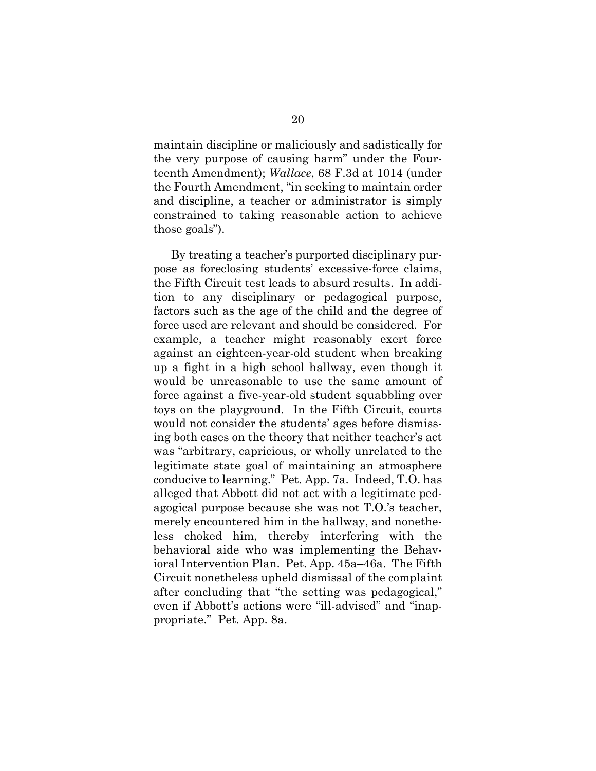maintain discipline or maliciously and sadistically for the very purpose of causing harm" under the Fourteenth Amendment); *Wallace*, 68 F.3d at 1014 (under the Fourth Amendment, "in seeking to maintain order and discipline, a teacher or administrator is simply constrained to taking reasonable action to achieve those goals").

By treating a teacher's purported disciplinary purpose as foreclosing students' excessive-force claims, the Fifth Circuit test leads to absurd results. In addition to any disciplinary or pedagogical purpose, factors such as the age of the child and the degree of force used are relevant and should be considered. For example, a teacher might reasonably exert force against an eighteen-year-old student when breaking up a fight in a high school hallway, even though it would be unreasonable to use the same amount of force against a five-year-old student squabbling over toys on the playground. In the Fifth Circuit, courts would not consider the students' ages before dismissing both cases on the theory that neither teacher's act was "arbitrary, capricious, or wholly unrelated to the legitimate state goal of maintaining an atmosphere conducive to learning." Pet. App. 7a. Indeed, T.O. has alleged that Abbott did not act with a legitimate pedagogical purpose because she was not T.O.'s teacher, merely encountered him in the hallway, and nonetheless choked him, thereby interfering with the behavioral aide who was implementing the Behavioral Intervention Plan. Pet. App. 45a–46a. The Fifth Circuit nonetheless upheld dismissal of the complaint after concluding that "the setting was pedagogical," even if Abbott's actions were "ill-advised" and "inappropriate." Pet. App. 8a.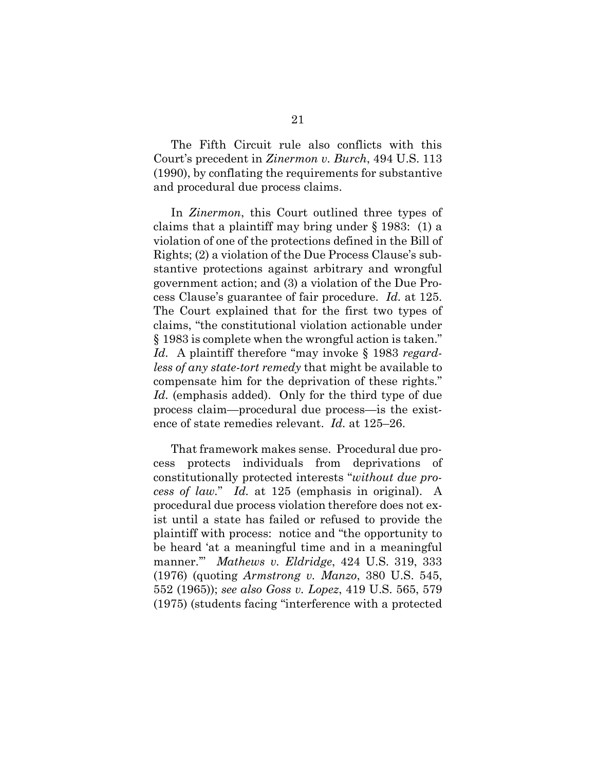The Fifth Circuit rule also conflicts with this Court's precedent in *Zinermon v. Burch*, 494 U.S. 113 (1990), by conflating the requirements for substantive and procedural due process claims.

In *Zinermon*, this Court outlined three types of claims that a plaintiff may bring under § 1983: (1) a violation of one of the protections defined in the Bill of Rights; (2) a violation of the Due Process Clause's substantive protections against arbitrary and wrongful government action; and (3) a violation of the Due Process Clause's guarantee of fair procedure. *Id.* at 125. The Court explained that for the first two types of claims, "the constitutional violation actionable under § 1983 is complete when the wrongful action is taken." *Id.* A plaintiff therefore "may invoke § 1983 *regardless of any state-tort remedy* that might be available to compensate him for the deprivation of these rights." *Id.* (emphasis added). Only for the third type of due process claim—procedural due process—is the existence of state remedies relevant. *Id.* at 125–26.

That framework makes sense. Procedural due process protects individuals from deprivations of constitutionally protected interests "*without due process of law.*" *Id.* at 125 (emphasis in original). A procedural due process violation therefore does not exist until a state has failed or refused to provide the plaintiff with process: notice and "the opportunity to be heard 'at a meaningful time and in a meaningful manner.'" *Mathews v. Eldridge*, 424 U.S. 319, 333 (1976) (quoting *Armstrong v. Manzo*, 380 U.S. 545, 552 (1965)); *see also Goss v. Lopez*, 419 U.S. 565, 579 (1975) (students facing "interference with a protected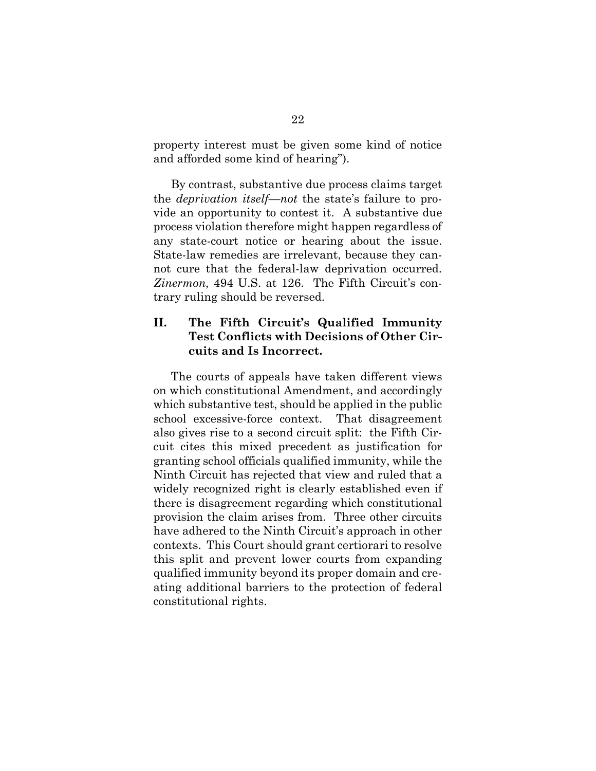property interest must be given some kind of notice and afforded some kind of hearing").

By contrast, substantive due process claims target the *deprivation itself*—*not* the state's failure to provide an opportunity to contest it. A substantive due process violation therefore might happen regardless of any state-court notice or hearing about the issue. State-law remedies are irrelevant, because they cannot cure that the federal-law deprivation occurred. *Zinermon,* 494 U.S. at 126. The Fifth Circuit's contrary ruling should be reversed.

## **II. The Fifth Circuit's Qualified Immunity Test Conflicts with Decisions of Other Circuits and Is Incorrect.**

The courts of appeals have taken different views on which constitutional Amendment, and accordingly which substantive test, should be applied in the public school excessive-force context. That disagreement also gives rise to a second circuit split: the Fifth Circuit cites this mixed precedent as justification for granting school officials qualified immunity, while the Ninth Circuit has rejected that view and ruled that a widely recognized right is clearly established even if there is disagreement regarding which constitutional provision the claim arises from. Three other circuits have adhered to the Ninth Circuit's approach in other contexts. This Court should grant certiorari to resolve this split and prevent lower courts from expanding qualified immunity beyond its proper domain and creating additional barriers to the protection of federal constitutional rights.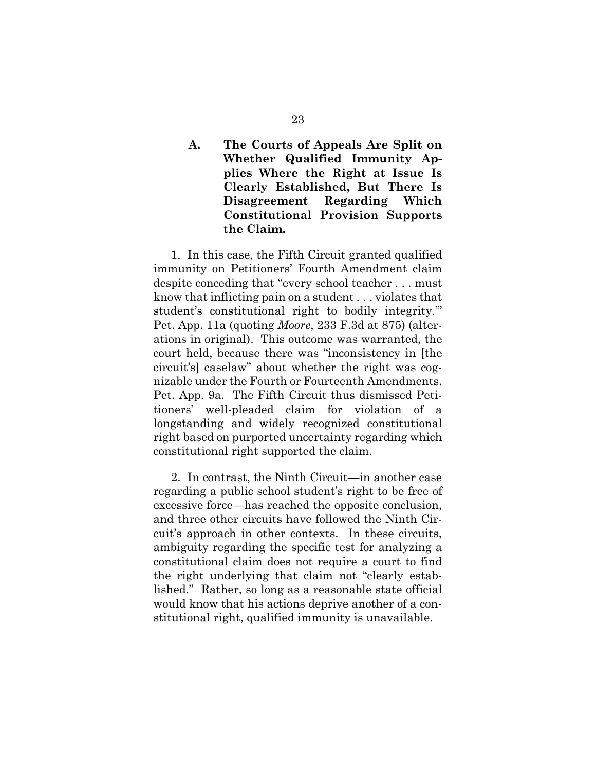## **A. The Courts of Appeals Are Split on Whether Qualified Immunity Applies Where the Right at Issue Is Clearly Established, But There Is Disagreement Regarding Which Constitutional Provision Supports the Claim.**

1. In this case, the Fifth Circuit granted qualified immunity on Petitioners' Fourth Amendment claim despite conceding that "every school teacher . . . must know that inflicting pain on a student . . . violates that student's constitutional right to bodily integrity.'" Pet. App. 11a (quoting *Moore*, 233 F.3d at 875) (alterations in original). This outcome was warranted, the court held, because there was "inconsistency in [the circuit's] caselaw" about whether the right was cognizable under the Fourth or Fourteenth Amendments. Pet. App. 9a. The Fifth Circuit thus dismissed Petitioners' well-pleaded claim for violation of a longstanding and widely recognized constitutional right based on purported uncertainty regarding which constitutional right supported the claim.

2. In contrast, the Ninth Circuit—in another case regarding a public school student's right to be free of excessive force—has reached the opposite conclusion, and three other circuits have followed the Ninth Circuit's approach in other contexts. In these circuits, ambiguity regarding the specific test for analyzing a constitutional claim does not require a court to find the right underlying that claim not "clearly established." Rather, so long as a reasonable state official would know that his actions deprive another of a constitutional right, qualified immunity is unavailable.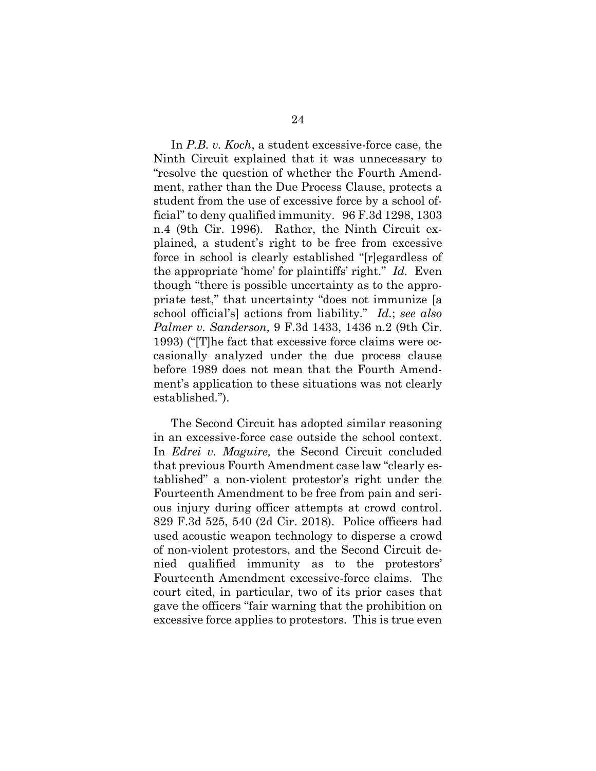In *P.B. v. Koch*, a student excessive-force case, the Ninth Circuit explained that it was unnecessary to "resolve the question of whether the Fourth Amendment, rather than the Due Process Clause, protects a student from the use of excessive force by a school official" to deny qualified immunity. 96 F.3d 1298, 1303 n.4 (9th Cir. 1996)*.* Rather, the Ninth Circuit explained, a student's right to be free from excessive force in school is clearly established "[r]egardless of the appropriate 'home' for plaintiffs' right." *Id.* Even though "there is possible uncertainty as to the appropriate test," that uncertainty "does not immunize [a school official's] actions from liability." *Id.*; *see also Palmer v. Sanderson,* 9 F.3d 1433, 1436 n.2 (9th Cir. 1993) ("[T]he fact that excessive force claims were occasionally analyzed under the due process clause before 1989 does not mean that the Fourth Amendment's application to these situations was not clearly established.").

The Second Circuit has adopted similar reasoning in an excessive-force case outside the school context. In *Edrei v. Maguire,* the Second Circuit concluded that previous Fourth Amendment case law "clearly established" a non-violent protestor's right under the Fourteenth Amendment to be free from pain and serious injury during officer attempts at crowd control. 829 F.3d 525, 540 (2d Cir. 2018). Police officers had used acoustic weapon technology to disperse a crowd of non-violent protestors, and the Second Circuit denied qualified immunity as to the protestors' Fourteenth Amendment excessive-force claims. The court cited, in particular, two of its prior cases that gave the officers "fair warning that the prohibition on excessive force applies to protestors. This is true even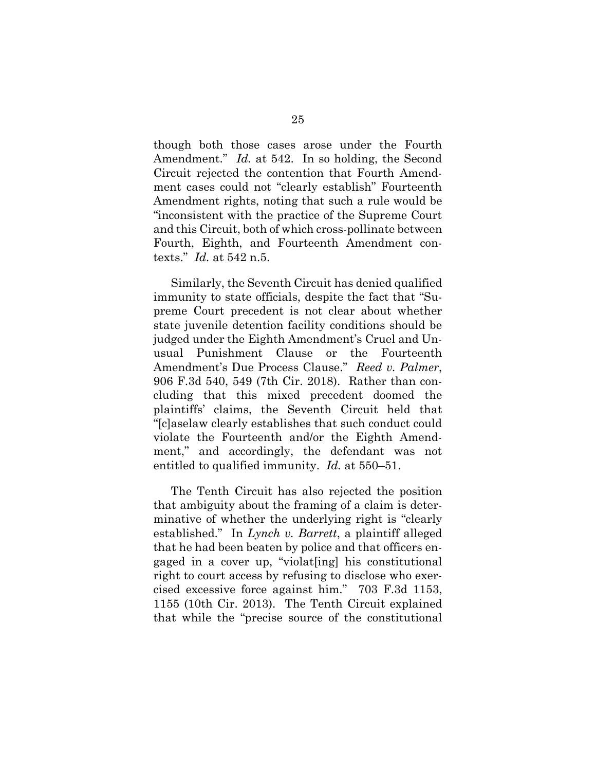though both those cases arose under the Fourth Amendment." *Id.* at 542. In so holding, the Second Circuit rejected the contention that Fourth Amendment cases could not "clearly establish" Fourteenth Amendment rights, noting that such a rule would be "inconsistent with the practice of the Supreme Court and this Circuit, both of which cross-pollinate between Fourth, Eighth, and Fourteenth Amendment contexts." *Id.* at 542 n.5.

Similarly, the Seventh Circuit has denied qualified immunity to state officials, despite the fact that "Supreme Court precedent is not clear about whether state juvenile detention facility conditions should be judged under the Eighth Amendment's Cruel and Unusual Punishment Clause or the Fourteenth Amendment's Due Process Clause." *Reed v. Palmer*, 906 F.3d 540, 549 (7th Cir. 2018). Rather than concluding that this mixed precedent doomed the plaintiffs' claims, the Seventh Circuit held that "[c]aselaw clearly establishes that such conduct could violate the Fourteenth and/or the Eighth Amendment," and accordingly, the defendant was not entitled to qualified immunity. *Id.* at 550–51.

The Tenth Circuit has also rejected the position that ambiguity about the framing of a claim is determinative of whether the underlying right is "clearly established." In *Lynch v. Barrett*, a plaintiff alleged that he had been beaten by police and that officers engaged in a cover up, "violat[ing] his constitutional right to court access by refusing to disclose who exercised excessive force against him." 703 F.3d 1153, 1155 (10th Cir. 2013). The Tenth Circuit explained that while the "precise source of the constitutional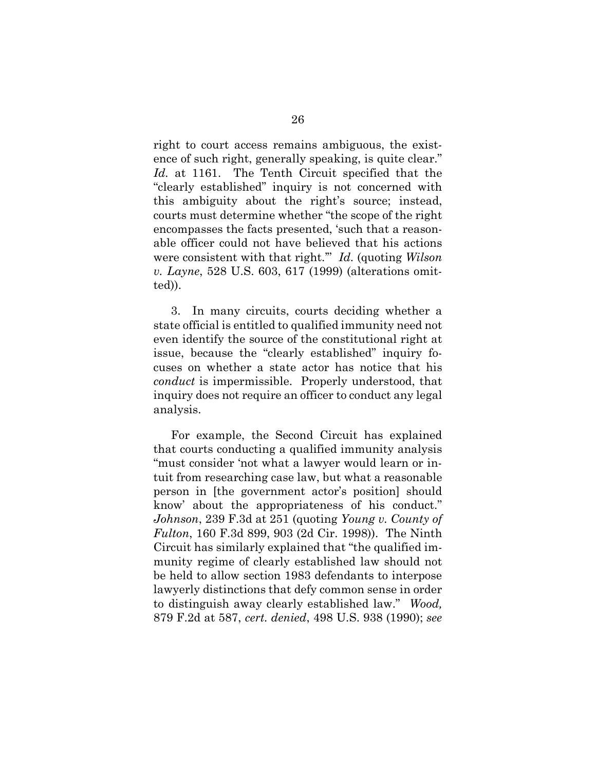right to court access remains ambiguous, the existence of such right, generally speaking, is quite clear." *Id.* at 1161. The Tenth Circuit specified that the "clearly established" inquiry is not concerned with this ambiguity about the right's source; instead, courts must determine whether "the scope of the right encompasses the facts presented, 'such that a reasonable officer could not have believed that his actions were consistent with that right.'" *Id.* (quoting *Wilson v. Layne*, 528 U.S. 603, 617 (1999) (alterations omitted)).

3. In many circuits, courts deciding whether a state official is entitled to qualified immunity need not even identify the source of the constitutional right at issue, because the "clearly established" inquiry focuses on whether a state actor has notice that his *conduct* is impermissible. Properly understood, that inquiry does not require an officer to conduct any legal analysis.

For example, the Second Circuit has explained that courts conducting a qualified immunity analysis "must consider 'not what a lawyer would learn or intuit from researching case law, but what a reasonable person in [the government actor's position] should know' about the appropriateness of his conduct." *Johnson*, 239 F.3d at 251 (quoting *Young v. County of Fulton*, 160 F.3d 899, 903 (2d Cir. 1998)). The Ninth Circuit has similarly explained that "the qualified immunity regime of clearly established law should not be held to allow section 1983 defendants to interpose lawyerly distinctions that defy common sense in order to distinguish away clearly established law." *Wood,*  879 F.2d at 587, *cert. denied*, 498 U.S. 938 (1990); *see*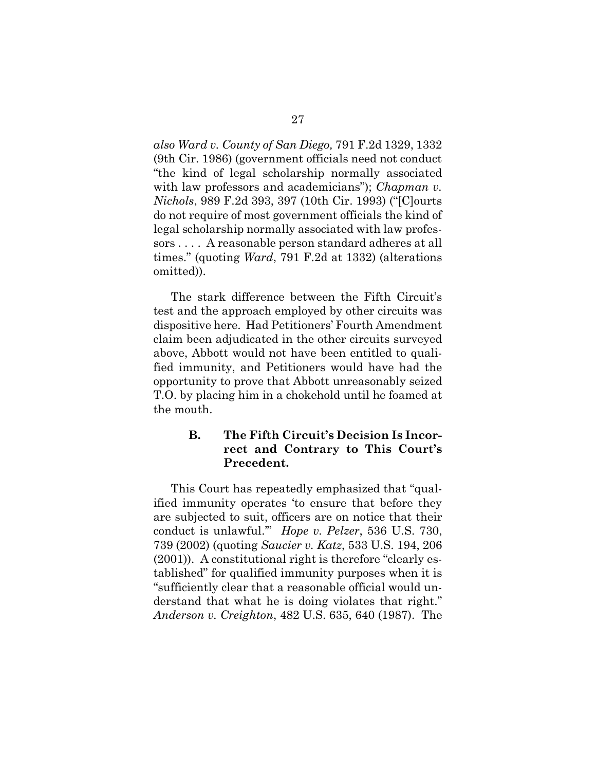*also Ward v. County of San Diego,* 791 F.2d 1329, 1332 (9th Cir. 1986) (government officials need not conduct "the kind of legal scholarship normally associated with law professors and academicians"); *Chapman v. Nichols*, 989 F.2d 393, 397 (10th Cir. 1993) ("[C]ourts do not require of most government officials the kind of legal scholarship normally associated with law professors . . . . A reasonable person standard adheres at all times." (quoting *Ward*, 791 F.2d at 1332) (alterations omitted)).

The stark difference between the Fifth Circuit's test and the approach employed by other circuits was dispositive here. Had Petitioners' Fourth Amendment claim been adjudicated in the other circuits surveyed above, Abbott would not have been entitled to qualified immunity, and Petitioners would have had the opportunity to prove that Abbott unreasonably seized T.O. by placing him in a chokehold until he foamed at the mouth.

## **B. The Fifth Circuit's Decision Is Incorrect and Contrary to This Court's Precedent.**

This Court has repeatedly emphasized that "qualified immunity operates 'to ensure that before they are subjected to suit, officers are on notice that their conduct is unlawful.'" *Hope v. Pelzer*, 536 U.S. 730, 739 (2002) (quoting *Saucier v. Katz*, 533 U.S. 194, 206 (2001)). A constitutional right is therefore "clearly established" for qualified immunity purposes when it is "sufficiently clear that a reasonable official would understand that what he is doing violates that right." *Anderson v. Creighton*, 482 U.S. 635, 640 (1987). The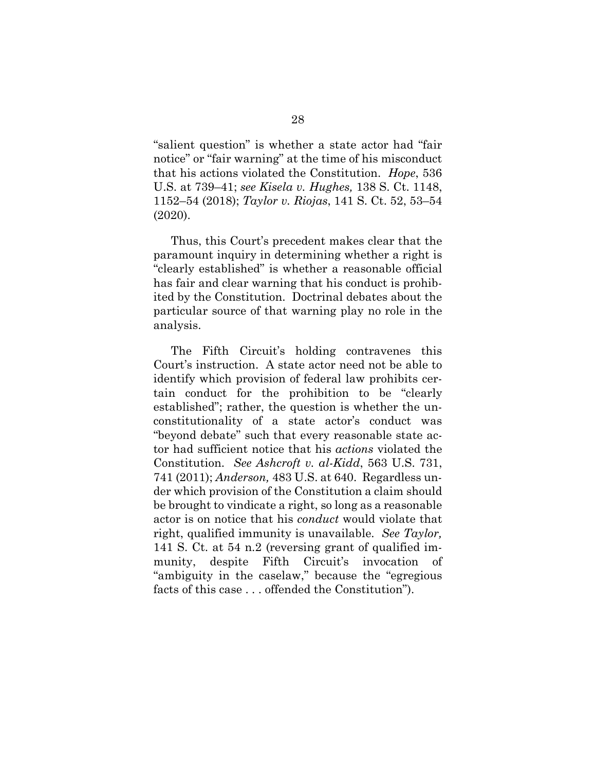"salient question" is whether a state actor had "fair notice" or "fair warning" at the time of his misconduct that his actions violated the Constitution. *Hope*, 536 U.S. at 739–41; *see Kisela v. Hughes,* 138 S. Ct. 1148, 1152–54 (2018); *Taylor v. Riojas*, 141 S. Ct. 52, 53–54 (2020).

Thus, this Court's precedent makes clear that the paramount inquiry in determining whether a right is "clearly established" is whether a reasonable official has fair and clear warning that his conduct is prohibited by the Constitution. Doctrinal debates about the particular source of that warning play no role in the analysis.

The Fifth Circuit's holding contravenes this Court's instruction. A state actor need not be able to identify which provision of federal law prohibits certain conduct for the prohibition to be "clearly established"; rather, the question is whether the unconstitutionality of a state actor's conduct was "beyond debate" such that every reasonable state actor had sufficient notice that his *actions* violated the Constitution. *See Ashcroft v. al-Kidd*, 563 U.S. 731, 741 (2011); *Anderson,* 483 U.S. at 640. Regardless under which provision of the Constitution a claim should be brought to vindicate a right, so long as a reasonable actor is on notice that his *conduct* would violate that right, qualified immunity is unavailable. *See Taylor,*  141 S. Ct. at 54 n.2 (reversing grant of qualified immunity, despite Fifth Circuit's invocation of "ambiguity in the caselaw," because the "egregious facts of this case . . . offended the Constitution").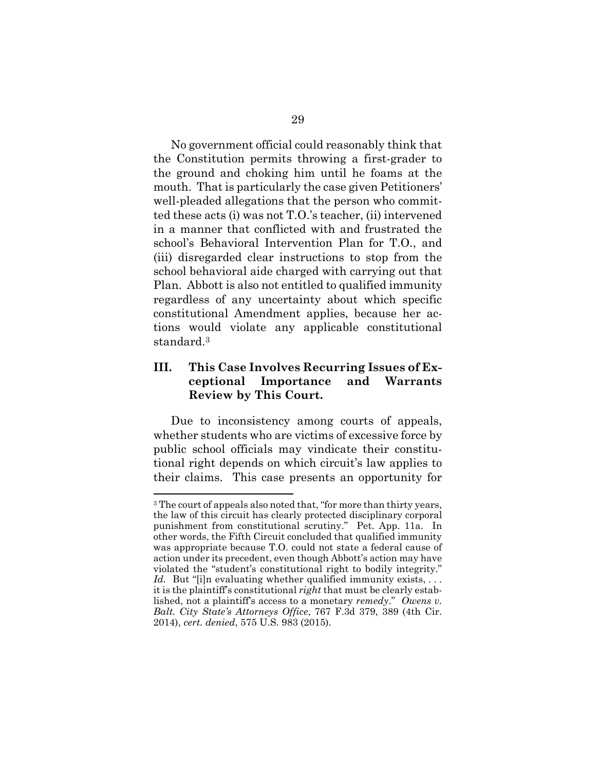No government official could reasonably think that the Constitution permits throwing a first-grader to the ground and choking him until he foams at the mouth. That is particularly the case given Petitioners' well-pleaded allegations that the person who committed these acts (i) was not T.O.'s teacher, (ii) intervened in a manner that conflicted with and frustrated the school's Behavioral Intervention Plan for T.O., and (iii) disregarded clear instructions to stop from the school behavioral aide charged with carrying out that Plan. Abbott is also not entitled to qualified immunity regardless of any uncertainty about which specific constitutional Amendment applies, because her actions would violate any applicable constitutional standard.<sup>3</sup>

## **III. This Case Involves Recurring Issues of Exceptional Importance and Warrants Review by This Court.**

Due to inconsistency among courts of appeals, whether students who are victims of excessive force by public school officials may vindicate their constitutional right depends on which circuit's law applies to their claims. This case presents an opportunity for

<sup>3</sup> The court of appeals also noted that, "for more than thirty years, the law of this circuit has clearly protected disciplinary corporal punishment from constitutional scrutiny." Pet. App. 11a. In other words, the Fifth Circuit concluded that qualified immunity was appropriate because T.O. could not state a federal cause of action under its precedent, even though Abbott's action may have violated the "student's constitutional right to bodily integrity." *Id.* But "[i]n evaluating whether qualified immunity exists, ... it is the plaintiff's constitutional *right* that must be clearly established, not a plaintiff's access to a monetary *remedy*." *Owens v. Balt. City State's Attorneys Office*, 767 F.3d 379, 389 (4th Cir. 2014), *cert. denied*, 575 U.S. 983 (2015).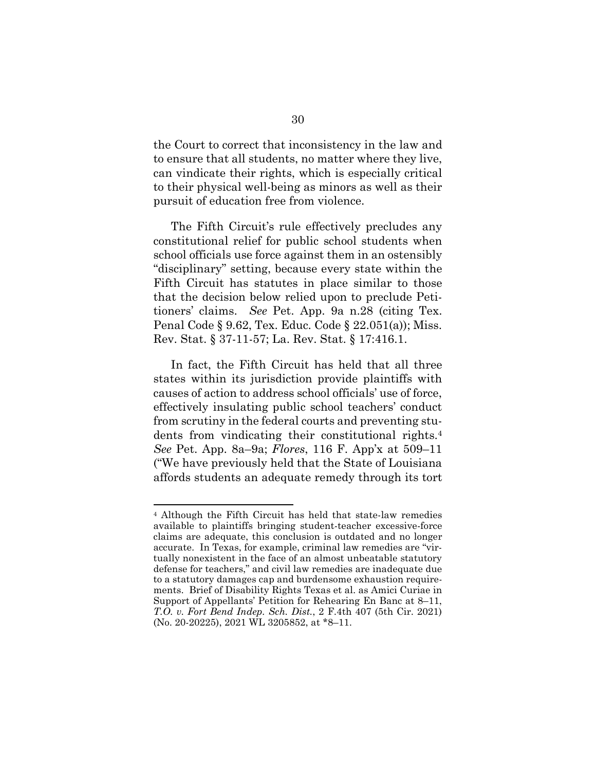the Court to correct that inconsistency in the law and to ensure that all students, no matter where they live, can vindicate their rights, which is especially critical to their physical well-being as minors as well as their pursuit of education free from violence.

The Fifth Circuit's rule effectively precludes any constitutional relief for public school students when school officials use force against them in an ostensibly "disciplinary" setting, because every state within the Fifth Circuit has statutes in place similar to those that the decision below relied upon to preclude Petitioners' claims. *See* Pet. App. 9a n.28 (citing Tex. Penal Code § 9.62, Tex. Educ. Code § 22.051(a)); Miss. Rev. Stat. § 37-11-57; La. Rev. Stat. § 17:416.1.

In fact, the Fifth Circuit has held that all three states within its jurisdiction provide plaintiffs with causes of action to address school officials' use of force, effectively insulating public school teachers' conduct from scrutiny in the federal courts and preventing students from vindicating their constitutional rights.<sup>4</sup> *See* Pet. App. 8a–9a; *Flores*, 116 F. App'x at 509–11 ("We have previously held that the State of Louisiana affords students an adequate remedy through its tort

<sup>4</sup> Although the Fifth Circuit has held that state-law remedies available to plaintiffs bringing student-teacher excessive-force claims are adequate, this conclusion is outdated and no longer accurate. In Texas, for example, criminal law remedies are "virtually nonexistent in the face of an almost unbeatable statutory defense for teachers," and civil law remedies are inadequate due to a statutory damages cap and burdensome exhaustion requirements. Brief of Disability Rights Texas et al. as Amici Curiae in Support of Appellants' Petition for Rehearing En Banc at 8–11, *T.O. v. Fort Bend Indep. Sch. Dist.*, 2 F.4th 407 (5th Cir. 2021) (No. 20-20225), 2021 WL 3205852, at \*8–11.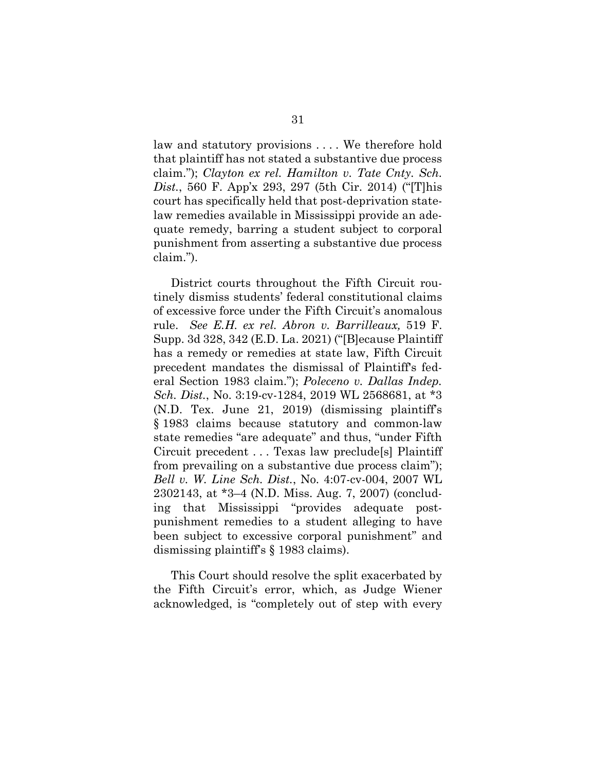law and statutory provisions . . . . We therefore hold that plaintiff has not stated a substantive due process claim."); *Clayton ex rel. Hamilton v. Tate Cnty. Sch. Dist.*, 560 F. App'x 293, 297 (5th Cir. 2014) ("[T]his court has specifically held that post-deprivation statelaw remedies available in Mississippi provide an adequate remedy, barring a student subject to corporal punishment from asserting a substantive due process claim.").

District courts throughout the Fifth Circuit routinely dismiss students' federal constitutional claims of excessive force under the Fifth Circuit's anomalous rule. *See E.H. ex rel. Abron v. Barrilleaux,* 519 F. Supp. 3d 328, 342 (E.D. La. 2021) ("[B]ecause Plaintiff has a remedy or remedies at state law, Fifth Circuit precedent mandates the dismissal of Plaintiff's federal Section 1983 claim."); *Poleceno v. Dallas Indep. Sch. Dist.*, No. 3:19-cv-1284, 2019 WL 2568681, at \*3 (N.D. Tex. June 21, 2019) (dismissing plaintiff's § 1983 claims because statutory and common-law state remedies "are adequate" and thus, "under Fifth Circuit precedent . . . Texas law preclude[s] Plaintiff from prevailing on a substantive due process claim"); *Bell v. W. Line Sch. Dist.*, No. 4:07-cv-004, 2007 WL 2302143, at \*3–4 (N.D. Miss. Aug. 7, 2007) (concluding that Mississippi "provides adequate postpunishment remedies to a student alleging to have been subject to excessive corporal punishment" and dismissing plaintiff's § 1983 claims).

This Court should resolve the split exacerbated by the Fifth Circuit's error, which, as Judge Wiener acknowledged, is "completely out of step with every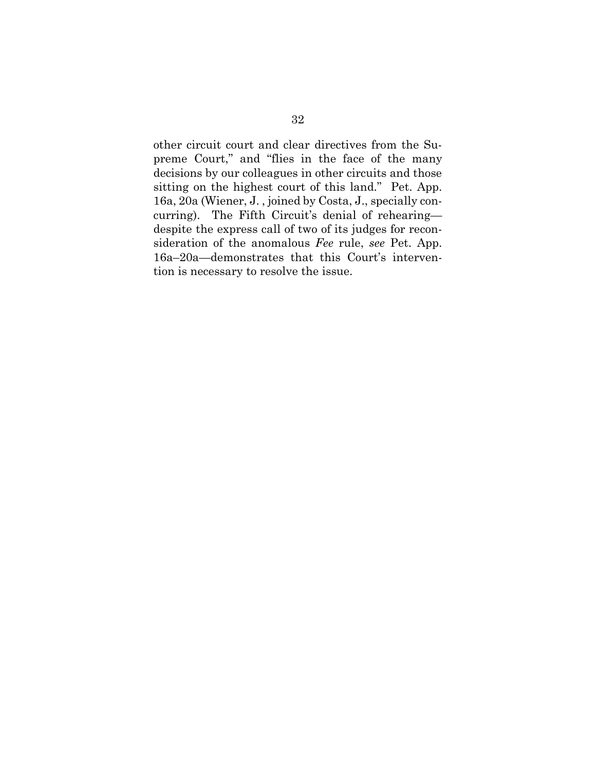other circuit court and clear directives from the Supreme Court," and "flies in the face of the many decisions by our colleagues in other circuits and those sitting on the highest court of this land." Pet. App. 16a, 20a (Wiener, J. , joined by Costa, J., specially concurring). The Fifth Circuit's denial of rehearing despite the express call of two of its judges for reconsideration of the anomalous *Fee* rule, *see* Pet. App. 16a–20a—demonstrates that this Court's intervention is necessary to resolve the issue.